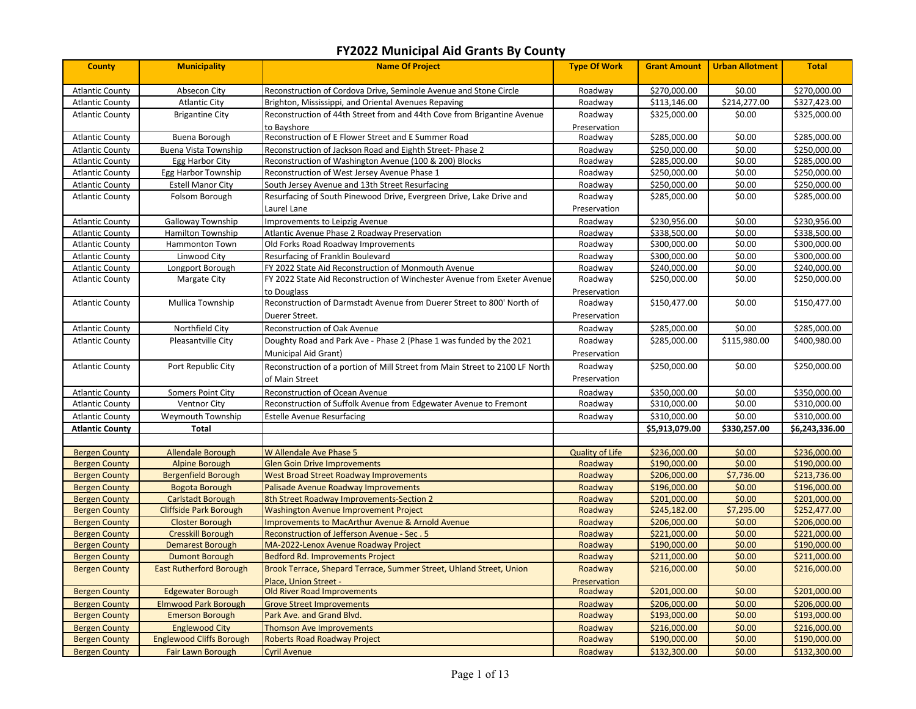| <b>County</b>          | <b>Municipality</b>             | <b>Name Of Project</b>                                                                       | <b>Type Of Work</b>     | <b>Grant Amount</b> | <b>Urban Allotment</b> | <b>Total</b>   |
|------------------------|---------------------------------|----------------------------------------------------------------------------------------------|-------------------------|---------------------|------------------------|----------------|
| <b>Atlantic County</b> | Absecon City                    | Reconstruction of Cordova Drive, Seminole Avenue and Stone Circle                            | Roadway                 | \$270,000.00        | \$0.00                 | \$270,000.00   |
| <b>Atlantic County</b> | <b>Atlantic City</b>            | Brighton, Mississippi, and Oriental Avenues Repaving                                         | Roadway                 | \$113,146.00        | \$214,277.00           | \$327,423.00   |
| <b>Atlantic County</b> | <b>Brigantine City</b>          | Reconstruction of 44th Street from and 44th Cove from Brigantine Avenue<br>to Bayshore       | Roadway<br>Preservation | \$325,000.00        | \$0.00                 | \$325,000.00   |
| <b>Atlantic County</b> | Buena Borough                   | Reconstruction of E Flower Street and E Summer Road                                          | Roadway                 | \$285,000.00        | \$0.00                 | \$285,000.00   |
| <b>Atlantic County</b> | Buena Vista Township            | Reconstruction of Jackson Road and Eighth Street-Phase 2                                     | Roadway                 | \$250,000.00        | \$0.00                 | \$250,000.00   |
| <b>Atlantic County</b> | Egg Harbor City                 | Reconstruction of Washington Avenue (100 & 200) Blocks                                       | Roadway                 | \$285,000.00        | \$0.00                 | \$285,000.00   |
| <b>Atlantic County</b> | Egg Harbor Township             | Reconstruction of West Jersey Avenue Phase 1                                                 | Roadway                 | \$250,000.00        | \$0.00                 | \$250,000.00   |
| <b>Atlantic County</b> | <b>Estell Manor City</b>        | South Jersey Avenue and 13th Street Resurfacing                                              | Roadway                 | \$250,000.00        | \$0.00                 | \$250,000.00   |
| <b>Atlantic County</b> | Folsom Borough                  | Resurfacing of South Pinewood Drive, Evergreen Drive, Lake Drive and                         | Roadway                 | \$285,000.00        | \$0.00                 | \$285,000.00   |
|                        |                                 | Laurel Lane                                                                                  | Preservation            |                     |                        |                |
| <b>Atlantic County</b> | Galloway Township               | Improvements to Leipzig Avenue                                                               | Roadway                 | \$230,956.00        | \$0.00                 | \$230,956.00   |
| <b>Atlantic County</b> | <b>Hamilton Township</b>        | Atlantic Avenue Phase 2 Roadway Preservation                                                 | Roadway                 | \$338,500.00        | \$0.00                 | \$338,500.00   |
| <b>Atlantic County</b> | Hammonton Town                  | Old Forks Road Roadway Improvements                                                          | Roadway                 | \$300,000.00        | \$0.00                 | \$300,000.00   |
| <b>Atlantic County</b> | Linwood City                    | Resurfacing of Franklin Boulevard                                                            | Roadway                 | \$300,000.00        | \$0.00                 | \$300,000.00   |
| <b>Atlantic County</b> | Longport Borough                | FY 2022 State Aid Reconstruction of Monmouth Avenue                                          | Roadway                 | \$240,000.00        | \$0.00                 | \$240,000.00   |
| <b>Atlantic County</b> | Margate City                    | FY 2022 State Aid Reconstruction of Winchester Avenue from Exeter Avenue                     | Roadway                 | \$250,000.00        | \$0.00                 | \$250,000.00   |
|                        |                                 | to Douglass                                                                                  | Preservation            |                     |                        |                |
| <b>Atlantic County</b> | Mullica Township                | Reconstruction of Darmstadt Avenue from Duerer Street to 800' North of                       | Roadway                 | \$150,477.00        | \$0.00                 | \$150,477.00   |
|                        |                                 | Duerer Street.                                                                               | Preservation            |                     |                        |                |
| <b>Atlantic County</b> | Northfield City                 | Reconstruction of Oak Avenue                                                                 | Roadway                 | \$285,000.00        | \$0.00                 | \$285,000.00   |
| <b>Atlantic County</b> | Pleasantville City              | Doughty Road and Park Ave - Phase 2 (Phase 1 was funded by the 2021                          | Roadway                 | \$285,000.00        | \$115,980.00           | \$400,980.00   |
|                        |                                 | <b>Municipal Aid Grant)</b>                                                                  | Preservation            |                     |                        |                |
| <b>Atlantic County</b> | Port Republic City              | Reconstruction of a portion of Mill Street from Main Street to 2100 LF North                 | Roadway                 | \$250,000.00        | \$0.00                 | \$250,000.00   |
|                        |                                 | of Main Street                                                                               | Preservation            |                     |                        |                |
| <b>Atlantic County</b> | Somers Point City               | Reconstruction of Ocean Avenue                                                               | Roadway                 | \$350,000.00        | \$0.00                 | \$350,000.00   |
| <b>Atlantic County</b> | <b>Ventnor City</b>             | Reconstruction of Suffolk Avenue from Edgewater Avenue to Fremont                            | Roadway                 | \$310,000.00        | \$0.00                 | \$310,000.00   |
| <b>Atlantic County</b> | Weymouth Township               | <b>Estelle Avenue Resurfacing</b>                                                            | Roadway                 | \$310,000.00        | \$0.00                 | \$310,000.00   |
| <b>Atlantic County</b> | <b>Total</b>                    |                                                                                              |                         | \$5,913,079.00      | \$330,257.00           | \$6,243,336.00 |
|                        |                                 |                                                                                              |                         |                     |                        |                |
| <b>Bergen County</b>   | <b>Allendale Borough</b>        | W Allendale Ave Phase 5                                                                      | <b>Quality of Life</b>  | \$236,000.00        | \$0.00                 | \$236,000.00   |
| <b>Bergen County</b>   | <b>Alpine Borough</b>           | <b>Glen Goin Drive Improvements</b>                                                          | Roadway                 | \$190,000.00        | \$0.00                 | \$190,000.00   |
| <b>Bergen County</b>   | <b>Bergenfield Borough</b>      | <b>West Broad Street Roadway Improvements</b>                                                | Roadway                 | \$206,000.00        | \$7,736.00             | \$213,736.00   |
| <b>Bergen County</b>   | <b>Bogota Borough</b>           | Palisade Avenue Roadway Improvements                                                         | Roadway                 | \$196,000.00        | \$0.00                 | \$196,000.00   |
| <b>Bergen County</b>   | <b>Carlstadt Borough</b>        | 8th Street Roadway Improvements-Section 2                                                    | Roadway                 | \$201,000.00        | \$0.00                 | \$201,000.00   |
| <b>Bergen County</b>   | <b>Cliffside Park Borough</b>   | <b>Washington Avenue Improvement Project</b>                                                 | Roadway                 | \$245,182.00        | \$7,295.00             | \$252,477.00   |
| <b>Bergen County</b>   | <b>Closter Borough</b>          | <b>Improvements to MacArthur Avenue &amp; Arnold Avenue</b>                                  | Roadway                 | \$206,000.00        | \$0.00                 | \$206,000.00   |
| <b>Bergen County</b>   | <b>Cresskill Borough</b>        | Reconstruction of Jefferson Avenue - Sec. 5                                                  | Roadway                 | \$221,000.00        | \$0.00                 | \$221,000.00   |
| <b>Bergen County</b>   | <b>Demarest Borough</b>         | MA-2022-Lenox Avenue Roadway Project                                                         | Roadway                 | \$190,000.00        | \$0.00                 | \$190,000.00   |
| <b>Bergen County</b>   | <b>Dumont Borough</b>           | Bedford Rd. Improvements Project                                                             | Roadway                 | \$211,000.00        | \$0.00                 | \$211,000.00   |
| <b>Bergen County</b>   | <b>East Rutherford Borough</b>  | Brook Terrace, Shepard Terrace, Summer Street, Uhland Street, Union<br>Place, Union Street - | Roadway<br>Preservation | \$216,000.00        | \$0.00                 | \$216,000.00   |
| <b>Bergen County</b>   | <b>Edgewater Borough</b>        | <b>Old River Road Improvements</b>                                                           | Roadway                 | \$201,000.00        | \$0.00                 | \$201,000.00   |
| <b>Bergen County</b>   | <b>Elmwood Park Borough</b>     | <b>Grove Street Improvements</b>                                                             | Roadway                 | \$206,000.00        | \$0.00                 | \$206,000.00   |
| <b>Bergen County</b>   | <b>Emerson Borough</b>          | Park Ave. and Grand Blvd.                                                                    | Roadway                 | \$193,000.00        | \$0.00                 | \$193,000.00   |
| <b>Bergen County</b>   | <b>Englewood City</b>           | <b>Thomson Ave Improvements</b>                                                              | Roadway                 | \$216,000.00        | \$0.00                 | \$216,000.00   |
| <b>Bergen County</b>   | <b>Englewood Cliffs Borough</b> | <b>Roberts Road Roadway Project</b>                                                          | Roadway                 | \$190,000.00        | \$0.00                 | \$190,000.00   |
| <b>Bergen County</b>   | Fair Lawn Borough               | <b>Cyril Avenue</b>                                                                          | Roadway                 | \$132,300.00        | \$0.00                 | \$132,300.00   |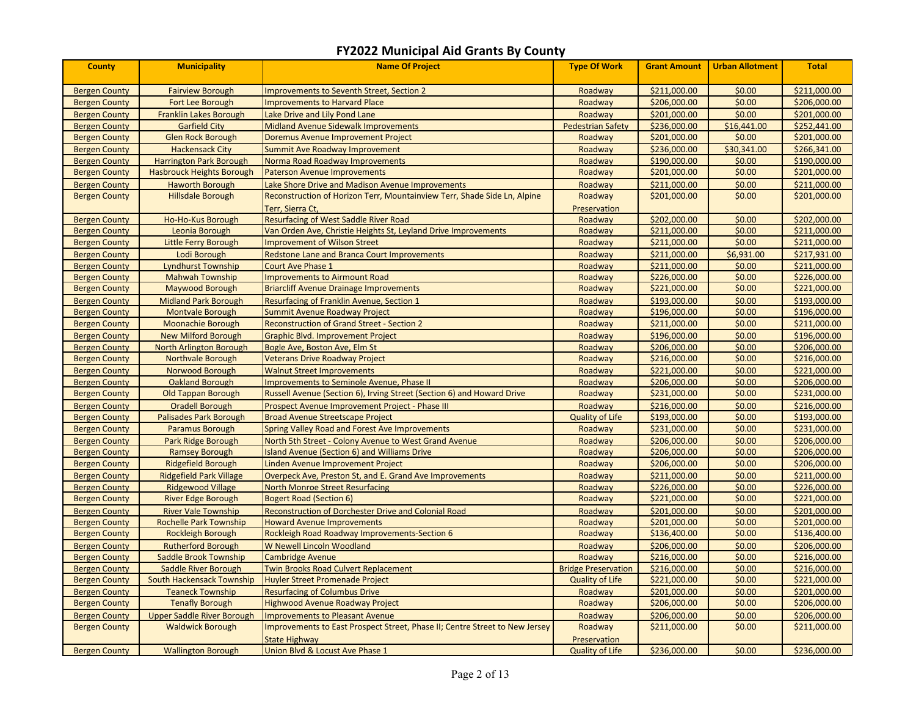| <b>County</b>        | <b>Municipality</b>               | <b>Name Of Project</b>                                                      | <b>Type Of Work</b>        | <b>Grant Amount</b> | <b>Urban Allotment</b> | <b>Total</b> |
|----------------------|-----------------------------------|-----------------------------------------------------------------------------|----------------------------|---------------------|------------------------|--------------|
| <b>Bergen County</b> | <b>Fairview Borough</b>           | <b>Improvements to Seventh Street, Section 2</b>                            | Roadway                    | \$211,000.00        | \$0.00                 | \$211,000.00 |
| <b>Bergen County</b> | Fort Lee Borough                  | <b>Improvements to Harvard Place</b>                                        | Roadway                    | \$206,000.00        | \$0.00                 | \$206,000.00 |
| <b>Bergen County</b> | <b>Franklin Lakes Borough</b>     | Lake Drive and Lily Pond Lane                                               | Roadway                    | \$201,000.00        | \$0.00                 | \$201,000.00 |
| <b>Bergen County</b> | <b>Garfield City</b>              | <b>Midland Avenue Sidewalk Improvements</b>                                 | <b>Pedestrian Safety</b>   | \$236,000.00        | \$16,441.00            | \$252,441.00 |
| <b>Bergen County</b> | <b>Glen Rock Borough</b>          | Doremus Avenue Improvement Project                                          | Roadway                    | \$201,000.00        | \$0.00                 | \$201,000.00 |
| <b>Bergen County</b> | <b>Hackensack City</b>            | <b>Summit Ave Roadway Improvement</b>                                       | Roadway                    | \$236,000.00        | \$30,341.00            | \$266,341.00 |
| <b>Bergen County</b> | <b>Harrington Park Borough</b>    | Norma Road Roadway Improvements                                             | Roadway                    | \$190,000.00        | \$0.00                 | \$190,000.00 |
| <b>Bergen County</b> | <b>Hasbrouck Heights Borough</b>  | <b>Paterson Avenue Improvements</b>                                         | Roadway                    | \$201,000.00        | \$0.00                 | \$201,000.00 |
| <b>Bergen County</b> | <b>Haworth Borough</b>            | Lake Shore Drive and Madison Avenue Improvements                            | Roadway                    | \$211,000.00        | \$0.00                 | \$211,000.00 |
| <b>Bergen County</b> | <b>Hillsdale Borough</b>          | Reconstruction of Horizon Terr, Mountainview Terr, Shade Side Ln, Alpine    | Roadway                    | \$201,000.00        | \$0.00                 | \$201,000.00 |
|                      |                                   | Terr, Sierra Ct,                                                            | Preservation               |                     |                        |              |
| <b>Bergen County</b> | Ho-Ho-Kus Borough                 | <b>Resurfacing of West Saddle River Road</b>                                | Roadway                    | \$202,000.00        | \$0.00                 | \$202,000.00 |
| <b>Bergen County</b> | Leonia Borough                    | Van Orden Ave, Christie Heights St, Leyland Drive Improvements              | Roadway                    | \$211,000.00        | \$0.00                 | \$211,000.00 |
| <b>Bergen County</b> | Little Ferry Borough              | <b>Improvement of Wilson Street</b>                                         | Roadway                    | \$211,000.00        | \$0.00                 | \$211,000.00 |
| <b>Bergen County</b> | Lodi Borough                      | <b>Redstone Lane and Branca Court Improvements</b>                          | Roadway                    | \$211,000.00        | \$6,931.00             | \$217,931.00 |
| <b>Bergen County</b> | <b>Lyndhurst Township</b>         | <b>Court Ave Phase 1</b>                                                    | Roadway                    | \$211,000.00        | \$0.00                 | \$211,000.00 |
| <b>Bergen County</b> | <b>Mahwah Township</b>            | <b>Improvements to Airmount Road</b>                                        | Roadway                    | \$226,000.00        | \$0.00                 | \$226,000.00 |
| <b>Bergen County</b> | <b>Maywood Borough</b>            | <b>Briarcliff Avenue Drainage Improvements</b>                              | Roadway                    | \$221,000.00        | \$0.00                 | \$221,000.00 |
| <b>Bergen County</b> | <b>Midland Park Borough</b>       | Resurfacing of Franklin Avenue, Section 1                                   | Roadway                    | \$193,000.00        | \$0.00                 | \$193,000.00 |
| <b>Bergen County</b> | <b>Montvale Borough</b>           | Summit Avenue Roadway Project                                               | Roadway                    | \$196,000.00        | \$0.00                 | \$196,000.00 |
| <b>Bergen County</b> | <b>Moonachie Borough</b>          | <b>Reconstruction of Grand Street - Section 2</b>                           | Roadway                    | \$211,000.00        | \$0.00                 | \$211,000.00 |
| <b>Bergen County</b> | <b>New Milford Borough</b>        | <b>Graphic Blvd. Improvement Project</b>                                    | Roadway                    | \$196,000.00        | \$0.00                 | \$196,000.00 |
| <b>Bergen County</b> | North Arlington Borough           | Bogle Ave, Boston Ave, Elm St                                               | Roadway                    | \$206,000.00        | \$0.00                 | \$206,000.00 |
| <b>Bergen County</b> | Northvale Borough                 | Veterans Drive Roadway Project                                              | Roadway                    | \$216,000.00        | \$0.00                 | \$216,000.00 |
| <b>Bergen County</b> | Norwood Borough                   | <b>Walnut Street Improvements</b>                                           | Roadway                    | \$221,000.00        | \$0.00                 | \$221,000.00 |
| <b>Bergen County</b> | <b>Oakland Borough</b>            | <b>Improvements to Seminole Avenue, Phase II</b>                            | Roadway                    | \$206,000.00        | \$0.00                 | \$206,000.00 |
| <b>Bergen County</b> | <b>Old Tappan Borough</b>         | Russell Avenue (Section 6), Irving Street (Section 6) and Howard Drive      | Roadway                    | \$231,000.00        | \$0.00                 | \$231,000.00 |
| <b>Bergen County</b> | <b>Oradell Borough</b>            | <b>Prospect Avenue Improvement Project - Phase III</b>                      | Roadway                    | \$216,000.00        | \$0.00                 | \$216,000.00 |
| <b>Bergen County</b> | <b>Palisades Park Borough</b>     | <b>Broad Avenue Streetscape Project</b>                                     | <b>Quality of Life</b>     | \$193,000.00        | \$0.00                 | \$193,000.00 |
| <b>Bergen County</b> | <b>Paramus Borough</b>            | Spring Valley Road and Forest Ave Improvements                              | Roadway                    | \$231,000.00        | \$0.00                 | \$231,000.00 |
| <b>Bergen County</b> | Park Ridge Borough                | North 5th Street - Colony Avenue to West Grand Avenue                       | Roadway                    | \$206,000.00        | \$0.00                 | \$206,000.00 |
| <b>Bergen County</b> | <b>Ramsey Borough</b>             | <b>Island Avenue (Section 6) and Williams Drive</b>                         | Roadway                    | \$206,000.00        | \$0.00                 | \$206,000.00 |
| <b>Bergen County</b> | <b>Ridgefield Borough</b>         | inden Avenue Improvement Project                                            | Roadway                    | \$206,000.00        | \$0.00                 | \$206,000.00 |
| <b>Bergen County</b> | <b>Ridgefield Park Village</b>    | Overpeck Ave, Preston St, and E. Grand Ave Improvements                     | Roadway                    | \$211,000.00        | \$0.00                 | \$211,000.00 |
| <b>Bergen County</b> | <b>Ridgewood Village</b>          | <b>North Monroe Street Resurfacing</b>                                      | Roadway                    | \$226,000.00        | \$0.00                 | \$226,000.00 |
| <b>Bergen County</b> | <b>River Edge Borough</b>         | <b>Bogert Road (Section 6)</b>                                              | Roadway                    | \$221,000.00        | \$0.00                 | \$221,000.00 |
| <b>Bergen County</b> | <b>River Vale Township</b>        | Reconstruction of Dorchester Drive and Colonial Road                        | Roadway                    | \$201,000.00        | \$0.00                 | \$201,000.00 |
| <b>Bergen County</b> | <b>Rochelle Park Township</b>     | <b>Howard Avenue Improvements</b>                                           | Roadway                    | \$201,000.00        | \$0.00                 | \$201,000.00 |
| <b>Bergen County</b> | <b>Rockleigh Borough</b>          | Rockleigh Road Roadway Improvements-Section 6                               | Roadway                    | \$136,400.00        | \$0.00                 | \$136,400.00 |
| <b>Bergen County</b> | <b>Rutherford Borough</b>         | W Newell Lincoln Woodland                                                   | Roadway                    | \$206,000.00        | \$0.00                 | \$206,000.00 |
| <b>Bergen County</b> | <b>Saddle Brook Township</b>      | <b>Cambridge Avenue</b>                                                     | Roadway                    | \$216,000.00        | \$0.00                 | \$216,000.00 |
| <b>Bergen County</b> | Saddle River Borough              | <b>Twin Brooks Road Culvert Replacement</b>                                 | <b>Bridge Preservation</b> | \$216,000.00        | \$0.00                 | \$216,000.00 |
| <b>Bergen County</b> | <b>South Hackensack Township</b>  | <b>Huyler Street Promenade Project</b>                                      | <b>Quality of Life</b>     | \$221,000.00        | \$0.00                 | \$221,000.00 |
| <b>Bergen County</b> | <b>Teaneck Township</b>           | <b>Resurfacing of Columbus Drive</b>                                        | Roadway                    | \$201,000.00        | \$0.00                 | \$201,000.00 |
| <b>Bergen County</b> | <b>Tenafly Borough</b>            | <b>Highwood Avenue Roadway Project</b>                                      | Roadway                    | \$206,000.00        | \$0.00                 | \$206,000.00 |
| <b>Bergen County</b> | <b>Upper Saddle River Borough</b> | <b>Improvements to Pleasant Avenue</b>                                      | Roadway                    | \$206,000.00        | \$0.00                 | \$206,000.00 |
| <b>Bergen County</b> | <b>Waldwick Borough</b>           | Improvements to East Prospect Street, Phase II; Centre Street to New Jersey | Roadway                    | \$211,000.00        | \$0.00                 | \$211,000.00 |
|                      |                                   | <b>State Highway</b>                                                        | Preservation               |                     |                        |              |
| <b>Bergen County</b> | <b>Wallington Borough</b>         | Union Blvd & Locust Ave Phase 1                                             | <b>Quality of Life</b>     | \$236,000.00        | \$0.00                 | \$236,000.00 |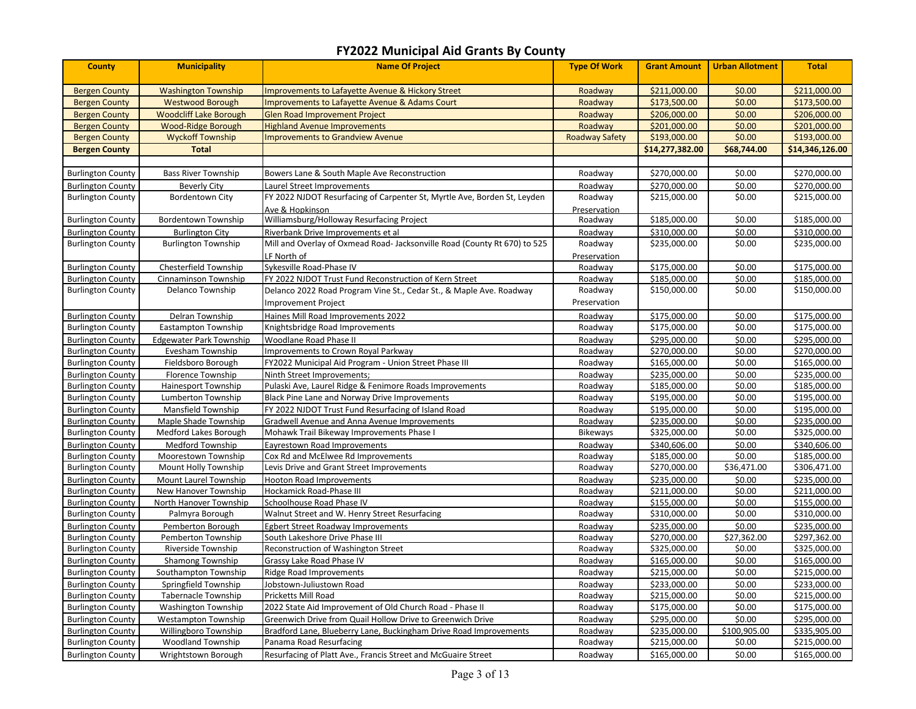| <b>County</b>            | <b>Municipality</b>            | <b>Name Of Project</b>                                                    | <b>Type Of Work</b>   | <b>Grant Amount</b> | <b>Urban Allotment</b> | <b>Total</b>    |
|--------------------------|--------------------------------|---------------------------------------------------------------------------|-----------------------|---------------------|------------------------|-----------------|
| <b>Bergen County</b>     | <b>Washington Township</b>     | <b>Improvements to Lafayette Avenue &amp; Hickory Street</b>              | Roadway               | \$211,000.00        | \$0.00                 | \$211,000.00    |
| <b>Bergen County</b>     | <b>Westwood Borough</b>        | Improvements to Lafayette Avenue & Adams Court                            | Roadway               | \$173,500.00        | \$0.00                 | \$173,500.00    |
| <b>Bergen County</b>     | <b>Woodcliff Lake Borough</b>  | <b>Glen Road Improvement Project</b>                                      | Roadway               | \$206,000.00        | \$0.00                 | \$206,000.00    |
| <b>Bergen County</b>     | <b>Wood-Ridge Borough</b>      | <b>Highland Avenue Improvements</b>                                       | Roadway               | \$201,000.00        | \$0.00                 | \$201,000.00    |
| <b>Bergen County</b>     | <b>Wyckoff Township</b>        | <b>Improvements to Grandview Avenue</b>                                   | <b>Roadway Safety</b> | \$193,000.00        | \$0.00                 | \$193,000.00    |
| <b>Bergen County</b>     | <b>Total</b>                   |                                                                           |                       | \$14,277,382.00     | \$68,744.00            | \$14,346,126.00 |
|                          |                                |                                                                           |                       |                     |                        |                 |
| <b>Burlington County</b> | <b>Bass River Township</b>     | Bowers Lane & South Maple Ave Reconstruction                              | Roadway               | \$270,000.00        | \$0.00                 | \$270,000.00    |
| <b>Burlington County</b> | <b>Beverly City</b>            | Laurel Street Improvements                                                | Roadway               | \$270,000.00        | \$0.00                 | \$270,000.00    |
| <b>Burlington County</b> | <b>Bordentown City</b>         | FY 2022 NJDOT Resurfacing of Carpenter St, Myrtle Ave, Borden St, Leyden  | Roadway               | \$215,000.00        | \$0.00                 | \$215,000.00    |
|                          |                                | Ave & Hopkinson                                                           | Preservation          |                     |                        |                 |
| <b>Burlington County</b> | <b>Bordentown Township</b>     | Williamsburg/Holloway Resurfacing Project                                 | Roadway               | \$185,000.00        | \$0.00                 | \$185,000.00    |
| <b>Burlington County</b> | <b>Burlington City</b>         | Riverbank Drive Improvements et al                                        | Roadway               | \$310,000.00        | \$0.00                 | \$310,000.00    |
| <b>Burlington County</b> | <b>Burlington Township</b>     | Mill and Overlay of Oxmead Road- Jacksonville Road (County Rt 670) to 525 | Roadway               | \$235,000.00        | \$0.00                 | \$235,000.00    |
|                          |                                | LF North of                                                               | Preservation          |                     |                        |                 |
| <b>Burlington County</b> | Chesterfield Township          | Sykesville Road-Phase IV                                                  | Roadway               | \$175,000.00        | \$0.00                 | \$175,000.00    |
| <b>Burlington County</b> | Cinnaminson Township           | FY 2022 NJDOT Trust Fund Reconstruction of Kern Street                    | Roadway               | \$185,000.00        | \$0.00                 | \$185,000.00    |
| <b>Burlington County</b> | Delanco Township               | Delanco 2022 Road Program Vine St., Cedar St., & Maple Ave. Roadway       | Roadway               | \$150,000.00        | \$0.00                 | \$150,000.00    |
|                          |                                | Improvement Project                                                       | Preservation          |                     |                        |                 |
| <b>Burlington County</b> | Delran Township                | Haines Mill Road Improvements 2022                                        | Roadway               | \$175,000.00        | \$0.00                 | \$175,000.00    |
| <b>Burlington County</b> | Eastampton Township            | Knightsbridge Road Improvements                                           | Roadway               | \$175,000.00        | \$0.00                 | \$175,000.00    |
| <b>Burlington County</b> | <b>Edgewater Park Township</b> | Woodlane Road Phase II                                                    | Roadway               | \$295,000.00        | \$0.00                 | \$295,000.00    |
| <b>Burlington County</b> | Evesham Township               | Improvements to Crown Royal Parkway                                       | Roadway               | \$270,000.00        | \$0.00                 | \$270,000.00    |
| <b>Burlington County</b> | Fieldsboro Borough             | FY2022 Municipal Aid Program - Union Street Phase III                     | Roadway               | \$165,000.00        | \$0.00                 | \$165,000.00    |
| <b>Burlington County</b> | Florence Township              | Ninth Street Improvements;                                                | Roadway               | \$235,000.00        | \$0.00                 | \$235,000.00    |
| <b>Burlington County</b> | <b>Hainesport Township</b>     | Pulaski Ave, Laurel Ridge & Fenimore Roads Improvements                   | Roadway               | \$185,000.00        | \$0.00                 | \$185,000.00    |
| <b>Burlington County</b> | Lumberton Township             | Black Pine Lane and Norway Drive Improvements                             | Roadway               | \$195,000.00        | \$0.00                 | \$195,000.00    |
| <b>Burlington County</b> | <b>Mansfield Township</b>      | FY 2022 NJDOT Trust Fund Resurfacing of Island Road                       | Roadway               | \$195,000.00        | \$0.00                 | \$195,000.00    |
| <b>Burlington County</b> | Maple Shade Township           | Gradwell Avenue and Anna Avenue Improvements                              | Roadway               | \$235,000.00        | \$0.00                 | \$235,000.00    |
| <b>Burlington County</b> | Medford Lakes Borough          | Mohawk Trail Bikeway Improvements Phase I                                 | Bikeways              | \$325,000.00        | \$0.00                 | \$325,000.00    |
| <b>Burlington County</b> | Medford Township               | Eayrestown Road Improvements                                              | Roadway               | \$340,606.00        | \$0.00                 | \$340,606.00    |
| <b>Burlington County</b> | Moorestown Township            | Cox Rd and McElwee Rd Improvements                                        | Roadway               | \$185,000.00        | \$0.00                 | \$185,000.00    |
| <b>Burlington County</b> | Mount Holly Township           | Levis Drive and Grant Street Improvements                                 | Roadway               | \$270,000.00        | \$36,471.00            | \$306,471.00    |
| <b>Burlington County</b> | Mount Laurel Township          | <b>Hooton Road Improvements</b>                                           | Roadway               | \$235,000.00        | \$0.00                 | \$235,000.00    |
| <b>Burlington County</b> | New Hanover Township           | Hockamick Road-Phase III                                                  | Roadway               | \$211,000.00        | \$0.00                 | \$211,000.00    |
| <b>Burlington County</b> | North Hanover Township         | Schoolhouse Road Phase IV                                                 | Roadway               | \$155,000.00        | \$0.00                 | \$155,000.00    |
| <b>Burlington County</b> | Palmyra Borough                | Walnut Street and W. Henry Street Resurfacing                             | Roadway               | \$310,000.00        | \$0.00                 | \$310,000.00    |
| <b>Burlington County</b> | Pemberton Borough              | <b>Egbert Street Roadway Improvements</b>                                 | Roadway               | \$235,000.00        | \$0.00                 | \$235,000.00    |
| <b>Burlington County</b> | Pemberton Township             | South Lakeshore Drive Phase III                                           | Roadway               | \$270,000.00        | \$27,362.00            | \$297,362.00    |
| <b>Burlington County</b> | Riverside Township             | Reconstruction of Washington Street                                       | Roadway               | \$325,000.00        | \$0.00                 | \$325,000.00    |
| <b>Burlington County</b> | <b>Shamong Township</b>        | Grassy Lake Road Phase IV                                                 | Roadway               | \$165,000.00        | \$0.00                 | \$165,000.00    |
| <b>Burlington County</b> | Southampton Township           | Ridge Road Improvements                                                   | Roadway               | \$215,000.00        | \$0.00                 | \$215,000.00    |
| <b>Burlington County</b> | Springfield Township           | Jobstown-Juliustown Road                                                  | Roadway               | \$233,000.00        | \$0.00                 | \$233,000.00    |
| <b>Burlington County</b> | <b>Tabernacle Township</b>     | Pricketts Mill Road                                                       | Roadway               | \$215,000.00        | \$0.00                 | \$215,000.00    |
| <b>Burlington County</b> | Washington Township            | 2022 State Aid Improvement of Old Church Road - Phase II                  | Roadway               | \$175,000.00        | \$0.00                 | \$175,000.00    |
| <b>Burlington County</b> | <b>Westampton Township</b>     | Greenwich Drive from Quail Hollow Drive to Greenwich Drive                | Roadway               | \$295,000.00        | \$0.00                 | \$295,000.00    |
| <b>Burlington County</b> | Willingboro Township           | Bradford Lane, Blueberry Lane, Buckingham Drive Road Improvements         | Roadway               | \$235,000.00        | \$100,905.00           | \$335,905.00    |
| <b>Burlington County</b> | <b>Woodland Township</b>       | Panama Road Resurfacing                                                   | Roadway               | \$215,000.00        | \$0.00                 | \$215,000.00    |
| <b>Burlington County</b> | Wrightstown Borough            | Resurfacing of Platt Ave., Francis Street and McGuaire Street             | Roadway               | \$165,000.00        | \$0.00                 | \$165,000.00    |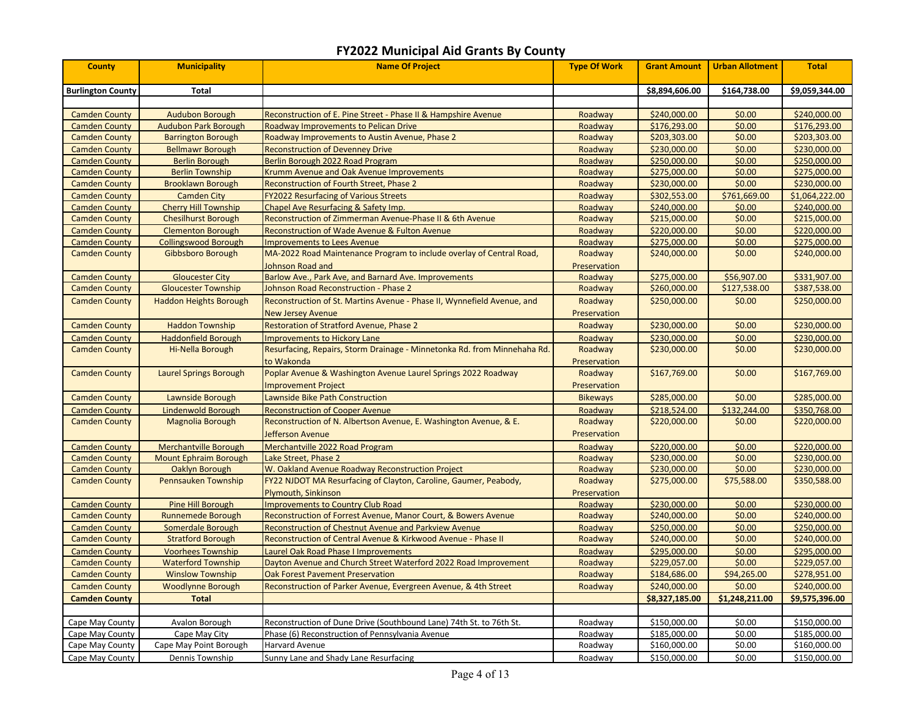| <b>County</b>            | <b>Municipality</b>           | <b>Name Of Project</b>                                                   | <b>Type Of Work</b> | <b>Grant Amount</b> | <b>Urban Allotment</b> | <b>Total</b>   |
|--------------------------|-------------------------------|--------------------------------------------------------------------------|---------------------|---------------------|------------------------|----------------|
| <b>Burlington County</b> | <b>Total</b>                  |                                                                          |                     | \$8,894,606.00      | \$164,738.00           | \$9,059,344.00 |
|                          |                               |                                                                          |                     |                     |                        |                |
| <b>Camden County</b>     | <b>Audubon Borough</b>        | Reconstruction of E. Pine Street - Phase II & Hampshire Avenue           | Roadway             | \$240,000.00        | \$0.00                 | \$240,000.00   |
| <b>Camden County</b>     | <b>Audubon Park Borough</b>   | Roadway Improvements to Pelican Drive                                    | Roadway             | \$176,293.00        | \$0.00                 | \$176,293.00   |
| <b>Camden County</b>     | <b>Barrington Borough</b>     | Roadway Improvements to Austin Avenue, Phase 2                           | Roadway             | \$203,303.00        | \$0.00                 | \$203,303.00   |
| <b>Camden County</b>     | <b>Bellmawr Borough</b>       | <b>Reconstruction of Devenney Drive</b>                                  | Roadway             | \$230,000.00        | \$0.00                 | \$230,000.00   |
| <b>Camden County</b>     | <b>Berlin Borough</b>         | Berlin Borough 2022 Road Program                                         | Roadway             | \$250,000.00        | \$0.00                 | \$250,000.00   |
| <b>Camden County</b>     | <b>Berlin Township</b>        | <b>Krumm Avenue and Oak Avenue Improvements</b>                          | Roadway             | \$275,000.00        | \$0.00                 | \$275,000.00   |
| <b>Camden County</b>     | <b>Brooklawn Borough</b>      | Reconstruction of Fourth Street, Phase 2                                 | Roadway             | \$230,000.00        | \$0.00                 | \$230,000.00   |
| <b>Camden County</b>     | <b>Camden City</b>            | <b>FY2022 Resurfacing of Various Streets</b>                             | Roadway             | \$302,553.00        | \$761,669.00           | \$1,064,222.00 |
| <b>Camden County</b>     | <b>Cherry Hill Township</b>   | Chapel Ave Resurfacing & Safety Imp.                                     | Roadway             | \$240,000.00        | \$0.00                 | \$240,000.00   |
| <b>Camden County</b>     | <b>Chesilhurst Borough</b>    | Reconstruction of Zimmerman Avenue-Phase II & 6th Avenue                 | Roadway             | \$215,000.00        | \$0.00                 | \$215,000.00   |
| <b>Camden County</b>     | <b>Clementon Borough</b>      | Reconstruction of Wade Avenue & Fulton Avenue                            | Roadway             | \$220,000.00        | \$0.00                 | \$220,000.00   |
| <b>Camden County</b>     | <b>Collingswood Borough</b>   | <b>Improvements to Lees Avenue</b>                                       | Roadway             | \$275,000.00        | \$0.00                 | \$275,000.00   |
| <b>Camden County</b>     | Gibbsboro Borough             | MA-2022 Road Maintenance Program to include overlay of Central Road,     | Roadway             | \$240,000.00        | \$0.00                 | \$240,000.00   |
|                          |                               | <b>Iohnson Road and</b>                                                  | Preservation        |                     |                        |                |
| <b>Camden County</b>     | <b>Gloucester City</b>        | Barlow Ave., Park Ave, and Barnard Ave. Improvements                     | Roadway             | \$275,000.00        | \$56,907.00            | \$331,907.00   |
| <b>Camden County</b>     | <b>Gloucester Township</b>    | <b>Johnson Road Reconstruction - Phase 2</b>                             | Roadway             | \$260,000.00        | \$127,538.00           | \$387,538.00   |
| <b>Camden County</b>     | <b>Haddon Heights Borough</b> | Reconstruction of St. Martins Avenue - Phase II, Wynnefield Avenue, and  | Roadway             | \$250,000.00        | \$0.00                 | \$250,000.00   |
|                          |                               | <b>New Jersey Avenue</b>                                                 | Preservation        |                     |                        |                |
| <b>Camden County</b>     | <b>Haddon Township</b>        | <b>Restoration of Stratford Avenue, Phase 2</b>                          | Roadway             | \$230,000.00        | \$0.00                 | \$230,000.00   |
| <b>Camden County</b>     | <b>Haddonfield Borough</b>    | <b>Improvements to Hickory Lane</b>                                      | Roadway             | \$230,000.00        | \$0.00                 | \$230,000.00   |
| <b>Camden County</b>     | Hi-Nella Borough              | Resurfacing, Repairs, Storm Drainage - Minnetonka Rd. from Minnehaha Rd. | Roadway             | \$230,000.00        | \$0.00                 | \$230,000.00   |
|                          |                               | to Wakonda                                                               | Preservation        |                     |                        |                |
| <b>Camden County</b>     | Laurel Springs Borough        | Poplar Avenue & Washington Avenue Laurel Springs 2022 Roadway            | Roadway             | \$167,769.00        | \$0.00                 | \$167,769.00   |
|                          |                               | <b>Improvement Project</b>                                               | Preservation        |                     |                        |                |
| <b>Camden County</b>     | Lawnside Borough              | Lawnside Bike Path Construction                                          | <b>Bikeways</b>     | \$285,000.00        | \$0.00                 | \$285,000.00   |
| <b>Camden County</b>     | <b>Lindenwold Borough</b>     | <b>Reconstruction of Cooper Avenue</b>                                   | Roadway             | \$218,524.00        | \$132,244.00           | \$350,768.00   |
| <b>Camden County</b>     | <b>Magnolia Borough</b>       | Reconstruction of N. Albertson Avenue, E. Washington Avenue, & E.        | Roadway             | \$220,000.00        | \$0.00                 | \$220,000.00   |
|                          |                               | Jefferson Avenue                                                         | Preservation        |                     |                        |                |
| <b>Camden County</b>     | <b>Merchantville Borough</b>  | Merchantville 2022 Road Program                                          | Roadway             | \$220,000.00        | \$0.00                 | \$220,000.00   |
| <b>Camden County</b>     | <b>Mount Ephraim Borough</b>  | Lake Street, Phase 2                                                     | Roadway             | \$230,000.00        | \$0.00                 | \$230,000.00   |
| <b>Camden County</b>     | Oaklyn Borough                | W. Oakland Avenue Roadway Reconstruction Project                         | Roadway             | \$230,000.00        | \$0.00                 | \$230,000.00   |
| <b>Camden County</b>     | Pennsauken Township           | FY22 NJDOT MA Resurfacing of Clayton, Caroline, Gaumer, Peabody,         | Roadway             | \$275,000.00        | \$75,588.00            | \$350,588.00   |
|                          |                               | <b>Plymouth, Sinkinson</b>                                               | Preservation        |                     |                        |                |
| <b>Camden County</b>     | <b>Pine Hill Borough</b>      | <b>Improvements to Country Club Road</b>                                 | Roadway             | \$230,000.00        | \$0.00                 | \$230,000.00   |
| <b>Camden County</b>     | <b>Runnemede Borough</b>      | Reconstruction of Forrest Avenue, Manor Court, & Bowers Avenue           | Roadway             | \$240,000.00        | \$0.00                 | \$240,000.00   |
| <b>Camden County</b>     | <b>Somerdale Borough</b>      | Reconstruction of Chestnut Avenue and Parkview Avenue                    | Roadway             | \$250,000.00        | \$0.00                 | \$250,000.00   |
| <b>Camden County</b>     | <b>Stratford Borough</b>      | Reconstruction of Central Avenue & Kirkwood Avenue - Phase II            | Roadway             | \$240,000.00        | \$0.00                 | \$240,000.00   |
| <b>Camden County</b>     | <b>Voorhees Township</b>      | Laurel Oak Road Phase I Improvements                                     | Roadway             | \$295,000.00        | \$0.00                 | \$295,000.00   |
| <b>Camden County</b>     | <b>Waterford Township</b>     | Dayton Avenue and Church Street Waterford 2022 Road Improvement          | Roadway             | \$229,057.00        | \$0.00                 | \$229,057.00   |
| <b>Camden County</b>     | <b>Winslow Township</b>       | <b>Oak Forest Pavement Preservation</b>                                  | Roadway             | \$184,686.00        | \$94,265.00            | \$278,951.00   |
| <b>Camden County</b>     | <b>Woodlynne Borough</b>      | Reconstruction of Parker Avenue, Evergreen Avenue, & 4th Street          | Roadway             | \$240,000.00        | \$0.00                 | \$240,000.00   |
| <b>Camden County</b>     | <b>Total</b>                  |                                                                          |                     | \$8,327,185.00      | \$1,248,211.00         | \$9,575,396.00 |
|                          |                               |                                                                          |                     |                     |                        |                |
| Cape May County          | Avalon Borough                | Reconstruction of Dune Drive (Southbound Lane) 74th St. to 76th St.      | Roadway             | \$150,000.00        | \$0.00                 | \$150,000.00   |
| Cape May County          | Cape May City                 | Phase (6) Reconstruction of Pennsylvania Avenue                          | Roadway             | \$185,000.00        | \$0.00                 | \$185,000.00   |
| Cape May County          | Cape May Point Borough        | Harvard Avenue                                                           | Roadway             | \$160,000.00        | \$0.00                 | \$160,000.00   |
| Cape May County          | Dennis Township               | Sunny Lane and Shady Lane Resurfacing                                    | Roadway             | \$150,000.00        | \$0.00                 | \$150,000.00   |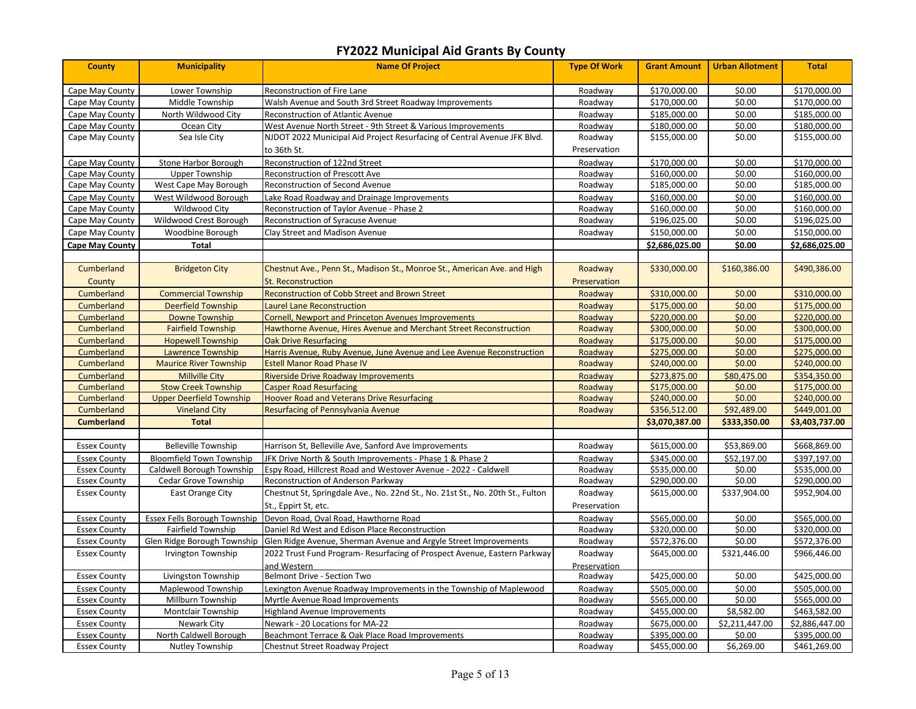| <b>County</b>          | <b>Municipality</b>             | <b>Name Of Project</b>                                                         | <b>Type Of Work</b> | <b>Grant Amount</b> | <b>Urban Allotment</b> | <b>Total</b>   |
|------------------------|---------------------------------|--------------------------------------------------------------------------------|---------------------|---------------------|------------------------|----------------|
| Cape May County        | Lower Township                  | <b>Reconstruction of Fire Lane</b>                                             | Roadway             | \$170,000.00        | \$0.00                 | \$170,000.00   |
| Cape May County        | Middle Township                 | Walsh Avenue and South 3rd Street Roadway Improvements                         | Roadway             | \$170,000.00        | \$0.00                 | \$170,000.00   |
| Cape May County        | North Wildwood City             | Reconstruction of Atlantic Avenue                                              | Roadway             | \$185,000.00        | \$0.00                 | \$185,000.00   |
| Cape May County        | Ocean City                      | West Avenue North Street - 9th Street & Various Improvements                   | Roadway             | \$180,000.00        | \$0.00                 | \$180,000.00   |
| Cape May County        | Sea Isle City                   | NJDOT 2022 Municipal Aid Project Resurfacing of Central Avenue JFK Blvd.       | Roadway             | \$155,000.00        | \$0.00                 | \$155,000.00   |
|                        |                                 | to 36th St.                                                                    | Preservation        |                     |                        |                |
| Cape May County        | Stone Harbor Borough            | Reconstruction of 122nd Street                                                 | Roadway             | \$170,000.00        | \$0.00                 | \$170,000.00   |
| Cape May County        | <b>Upper Township</b>           | Reconstruction of Prescott Ave                                                 | Roadway             | \$160,000.00        | \$0.00                 | \$160,000.00   |
| Cape May County        | West Cape May Borough           | Reconstruction of Second Avenue                                                | Roadway             | \$185,000.00        | \$0.00                 | \$185,000.00   |
| Cape May County        | West Wildwood Borough           | Lake Road Roadway and Drainage Improvements                                    | Roadway             | \$160,000.00        | \$0.00                 | \$160,000.00   |
| Cape May County        | Wildwood City                   | Reconstruction of Taylor Avenue - Phase 2                                      | Roadway             | \$160,000.00        | \$0.00                 | \$160,000.00   |
| Cape May County        | Wildwood Crest Borough          | Reconstruction of Syracuse Avenue                                              | Roadway             | \$196,025.00        | \$0.00                 | \$196,025.00   |
| Cape May County        | Woodbine Borough                | Clay Street and Madison Avenue                                                 | Roadway             | \$150,000.00        | \$0.00                 | \$150,000.00   |
| <b>Cape May County</b> | <b>Total</b>                    |                                                                                |                     | \$2,686,025.00      | \$0.00                 | \$2,686,025.00 |
|                        |                                 |                                                                                |                     |                     |                        |                |
| Cumberland             | <b>Bridgeton City</b>           | Chestnut Ave., Penn St., Madison St., Monroe St., American Ave. and High       | Roadway             | \$330,000.00        | \$160,386.00           | \$490,386.00   |
| County                 |                                 | <b>St. Reconstruction</b>                                                      | Preservation        |                     |                        |                |
| Cumberland             | <b>Commercial Township</b>      | <b>Reconstruction of Cobb Street and Brown Street</b>                          | Roadway             | \$310,000.00        | \$0.00                 | \$310,000.00   |
| Cumberland             | <b>Deerfield Township</b>       | aurel Lane Reconstruction                                                      | Roadway             | \$175,000.00        | \$0.00                 | \$175,000.00   |
| Cumberland             | <b>Downe Township</b>           | <b>Cornell, Newport and Princeton Avenues Improvements</b>                     | Roadway             | \$220,000.00        | \$0.00                 | \$220,000.00   |
| Cumberland             | <b>Fairfield Township</b>       | Hawthorne Avenue, Hires Avenue and Merchant Street Reconstruction              | Roadway             | \$300,000.00        | \$0.00                 | \$300,000.00   |
| Cumberland             | <b>Hopewell Township</b>        | <b>Oak Drive Resurfacing</b>                                                   | Roadway             | \$175,000.00        | \$0.00                 | \$175,000.00   |
| Cumberland             | <b>Lawrence Township</b>        | Harris Avenue, Ruby Avenue, June Avenue and Lee Avenue Reconstruction          | Roadway             | \$275,000.00        | \$0.00                 | \$275,000.00   |
| Cumberland             | <b>Maurice River Township</b>   | <b>Estell Manor Road Phase IV</b>                                              | Roadway             | \$240,000.00        | \$0.00                 | \$240,000.00   |
| Cumberland             | <b>Millville City</b>           | <b>Riverside Drive Roadway Improvements</b>                                    | Roadway             | \$273,875.00        | \$80,475.00            | \$354,350.00   |
| Cumberland             | <b>Stow Creek Township</b>      | <b>Casper Road Resurfacing</b>                                                 | Roadway             | \$175,000.00        | \$0.00                 | \$175,000.00   |
| Cumberland             | <b>Upper Deerfield Township</b> | <b>Hoover Road and Veterans Drive Resurfacing</b>                              | Roadway             | \$240,000.00        | \$0.00                 | \$240,000.00   |
| Cumberland             | <b>Vineland City</b>            | Resurfacing of Pennsylvania Avenue                                             | Roadway             | \$356,512.00        | \$92,489.00            | \$449,001.00   |
| <b>Cumberland</b>      | <b>Total</b>                    |                                                                                |                     | \$3,070,387.00      | \$333,350.00           | \$3,403,737.00 |
|                        |                                 |                                                                                |                     |                     |                        |                |
| <b>Essex County</b>    | <b>Belleville Township</b>      | Harrison St, Belleville Ave, Sanford Ave Improvements                          | Roadway             | \$615,000.00        | \$53,869.00            | \$668,869.00   |
| <b>Essex County</b>    | <b>Bloomfield Town Township</b> | JFK Drive North & South Improvements - Phase 1 & Phase 2                       | Roadway             | \$345,000.00        | \$52,197.00            | \$397,197.00   |
| <b>Essex County</b>    | Caldwell Borough Township       | Espy Road, Hillcrest Road and Westover Avenue - 2022 - Caldwell                | Roadway             | \$535,000.00        | \$0.00                 | \$535,000.00   |
| <b>Essex County</b>    | Cedar Grove Township            | Reconstruction of Anderson Parkway                                             | Roadway             | \$290,000.00        | \$0.00                 | \$290,000.00   |
| <b>Essex County</b>    | East Orange City                | Chestnut St, Springdale Ave., No. 22nd St., No. 21st St., No. 20th St., Fulton | Roadway             | \$615,000.00        | \$337,904.00           | \$952,904.00   |
|                        |                                 | St., Eppirt St, etc.                                                           | Preservation        |                     |                        |                |
| <b>Essex County</b>    | Essex Fells Borough Township    | Devon Road, Oval Road, Hawthorne Road                                          | Roadway             | \$565,000.00        | \$0.00                 | \$565,000.00   |
| <b>Essex County</b>    | Fairfield Township              | Daniel Rd West and Edison Place Reconstruction                                 | Roadway             | \$320,000.00        | \$0.00                 | \$320,000.00   |
| <b>Essex County</b>    | Glen Ridge Borough Township     | Glen Ridge Avenue, Sherman Avenue and Argyle Street Improvements               | Roadway             | \$572,376.00        | \$0.00                 | \$572,376.00   |
| <b>Essex County</b>    | Irvington Township              | 2022 Trust Fund Program- Resurfacing of Prospect Avenue, Eastern Parkway       | Roadway             | \$645,000.00        | \$321,446.00           | \$966,446.00   |
|                        |                                 | and Western                                                                    | Preservation        |                     |                        |                |
| <b>Essex County</b>    | Livingston Township             | Belmont Drive - Section Two                                                    | Roadway             | \$425,000.00        | \$0.00                 | \$425,000.00   |
| <b>Essex County</b>    | Maplewood Township              | Lexington Avenue Roadway Improvements in the Township of Maplewood             | Roadway             | \$505,000.00        | \$0.00                 | \$505,000.00   |
| <b>Essex County</b>    | Millburn Township               | Myrtle Avenue Road Improvements                                                | Roadway             | \$565,000.00        | \$0.00                 | \$565,000.00   |
| <b>Essex County</b>    | <b>Montclair Township</b>       | <b>Highland Avenue Improvements</b>                                            | Roadway             | \$455,000.00        | \$8,582.00             | \$463,582.00   |
| <b>Essex County</b>    | <b>Newark City</b>              | Newark - 20 Locations for MA-22                                                | Roadway             | \$675,000.00        | \$2,211,447.00         | \$2,886,447.00 |
| <b>Essex County</b>    | North Caldwell Borough          | Beachmont Terrace & Oak Place Road Improvements                                | Roadway             | \$395,000.00        | \$0.00                 | \$395,000.00   |
| <b>Essex County</b>    | Nutley Township                 | Chestnut Street Roadway Project                                                | Roadway             | \$455,000.00        | \$6,269.00             | \$461,269.00   |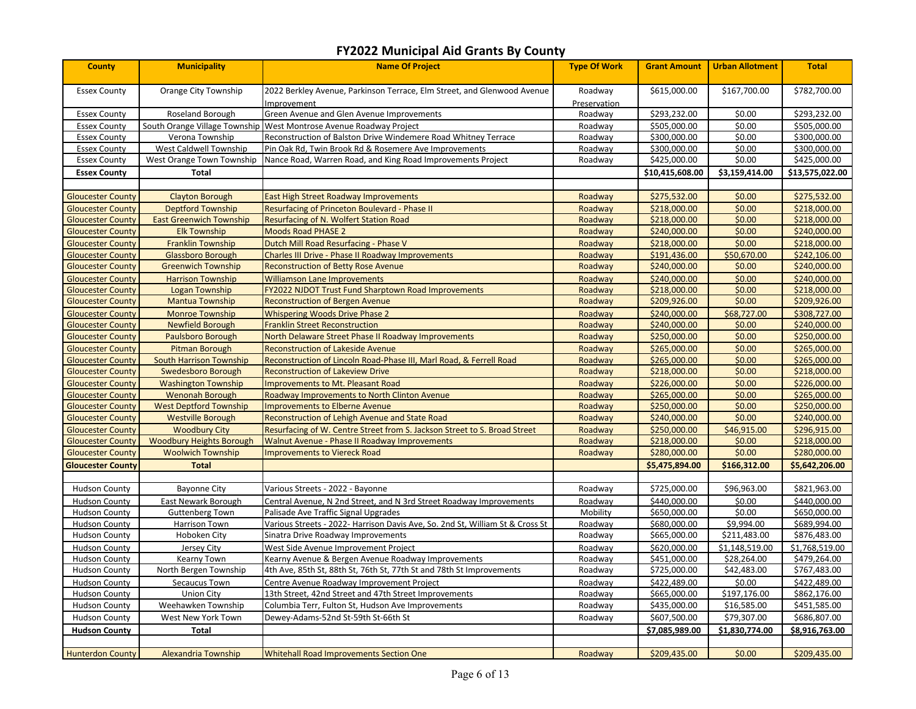| <b>County</b>            | <b>Municipality</b>             | <b>Name Of Project</b>                                                                | <b>Type Of Work</b>     | <b>Grant Amount</b> | <b>Urban Allotment</b> | <b>Total</b>    |
|--------------------------|---------------------------------|---------------------------------------------------------------------------------------|-------------------------|---------------------|------------------------|-----------------|
| <b>Essex County</b>      | Orange City Township            | 2022 Berkley Avenue, Parkinson Terrace, Elm Street, and Glenwood Avenue<br>mprovement | Roadway<br>Preservation | \$615,000.00        | \$167,700.00           | \$782,700.00    |
| <b>Essex County</b>      | Roseland Borough                | Green Avenue and Glen Avenue Improvements                                             | Roadway                 | \$293,232.00        | \$0.00                 | \$293,232.00    |
| <b>Essex County</b>      | South Orange Village Township   | West Montrose Avenue Roadway Project                                                  | Roadway                 | \$505,000.00        | \$0.00                 | \$505,000.00    |
| <b>Essex County</b>      | Verona Township                 | Reconstruction of Balston Drive Windemere Road Whitney Terrace                        | Roadway                 | \$300,000.00        | \$0.00                 | \$300,000.00    |
| <b>Essex County</b>      | West Caldwell Township          | Pin Oak Rd, Twin Brook Rd & Rosemere Ave Improvements                                 | Roadway                 | \$300,000.00        | \$0.00                 | \$300,000.00    |
| <b>Essex County</b>      | West Orange Town Township       | Nance Road, Warren Road, and King Road Improvements Project                           | Roadway                 | \$425,000.00        | \$0.00                 | \$425,000.00    |
| <b>Essex County</b>      | <b>Total</b>                    |                                                                                       |                         | \$10,415,608.00     | \$3,159,414.00         | \$13,575,022.00 |
|                          |                                 |                                                                                       |                         |                     |                        |                 |
| <b>Gloucester County</b> | <b>Clayton Borough</b>          | <b>East High Street Roadway Improvements</b>                                          | Roadway                 | \$275,532.00        | \$0.00                 | \$275,532.00    |
| <b>Gloucester County</b> | <b>Deptford Township</b>        | Resurfacing of Princeton Boulevard - Phase II                                         | Roadway                 | \$218,000.00        | \$0.00                 | \$218,000.00    |
| <b>Gloucester County</b> | <b>East Greenwich Township</b>  | Resurfacing of N. Wolfert Station Road                                                | Roadway                 | \$218,000.00        | \$0.00                 | \$218,000.00    |
| <b>Gloucester County</b> | <b>Elk Township</b>             | <b>Moods Road PHASE 2</b>                                                             | Roadway                 | \$240,000.00        | \$0.00                 | \$240,000.00    |
| <b>Gloucester County</b> | <b>Franklin Township</b>        | Dutch Mill Road Resurfacing - Phase V                                                 | Roadway                 | \$218,000.00        | \$0.00                 | \$218,000.00    |
| <b>Gloucester County</b> | <b>Glassboro Borough</b>        | <b>Charles III Drive - Phase II Roadway Improvements</b>                              | Roadway                 | \$191,436.00        | \$50,670.00            | \$242,106.00    |
| <b>Gloucester County</b> | <b>Greenwich Township</b>       | <b>Reconstruction of Betty Rose Avenue</b>                                            | Roadway                 | \$240,000.00        | \$0.00                 | \$240,000.00    |
| <b>Gloucester County</b> | <b>Harrison Township</b>        | <b>Williamson Lane Improvements</b>                                                   | Roadway                 | \$240,000.00        | \$0.00                 | \$240,000.00    |
| <b>Gloucester County</b> | <b>Logan Township</b>           | <b>FY2022 NJDOT Trust Fund Sharptown Road Improvements</b>                            | Roadway                 | \$218,000.00        | \$0.00                 | \$218,000.00    |
| <b>Gloucester County</b> | <b>Mantua Township</b>          | <b>Reconstruction of Bergen Avenue</b>                                                | Roadway                 | \$209,926.00        | \$0.00                 | \$209,926.00    |
| <b>Gloucester County</b> | <b>Monroe Township</b>          | <b>Whispering Woods Drive Phase 2</b>                                                 | Roadway                 | \$240.000.00        | \$68,727.00            | \$308,727.00    |
| <b>Gloucester County</b> | <b>Newfield Borough</b>         | <b>Franklin Street Reconstruction</b>                                                 | Roadway                 | \$240,000.00        | \$0.00                 | \$240,000.00    |
| <b>Gloucester County</b> | <b>Paulsboro Borough</b>        | North Delaware Street Phase II Roadway Improvements                                   | Roadway                 | \$250,000.00        | \$0.00                 | \$250,000.00    |
| <b>Gloucester County</b> | <b>Pitman Borough</b>           | <b>Reconstruction of Lakeside Avenue</b>                                              | Roadway                 | \$265,000.00        | \$0.00                 | \$265,000.00    |
| <b>Gloucester County</b> | <b>South Harrison Township</b>  | Reconstruction of Lincoln Road-Phase III, Marl Road, & Ferrell Road                   | Roadway                 | \$265,000.00        | \$0.00                 | \$265,000.00    |
| <b>Gloucester County</b> | Swedesboro Borough              | <b>Reconstruction of Lakeview Drive</b>                                               | Roadway                 | \$218,000.00        | \$0.00                 | \$218,000.00    |
| <b>Gloucester County</b> | <b>Washington Township</b>      | <b>Improvements to Mt. Pleasant Road</b>                                              | Roadway                 | \$226,000.00        | \$0.00                 | \$226,000.00    |
| <b>Gloucester County</b> | <b>Wenonah Borough</b>          | Roadway Improvements to North Clinton Avenue                                          | Roadway                 | \$265,000.00        | \$0.00                 | \$265,000.00    |
| <b>Gloucester County</b> | <b>West Deptford Township</b>   | <b>Improvements to Elberne Avenue</b>                                                 | Roadway                 | \$250,000.00        | \$0.00                 | \$250,000.00    |
| <b>Gloucester County</b> | <b>Westville Borough</b>        | Reconstruction of Lehigh Avenue and State Road                                        | Roadway                 | \$240,000.00        | \$0.00                 | \$240,000.00    |
| <b>Gloucester County</b> | <b>Woodbury City</b>            | Resurfacing of W. Centre Street from S. Jackson Street to S. Broad Street             | Roadway                 | \$250,000.00        | \$46,915.00            | \$296,915.00    |
| <b>Gloucester County</b> | <b>Woodbury Heights Borough</b> | <b>Walnut Avenue - Phase II Roadway Improvements</b>                                  | Roadway                 | \$218,000.00        | \$0.00                 | \$218,000.00    |
| <b>Gloucester County</b> | <b>Woolwich Township</b>        | <b>Improvements to Viereck Road</b>                                                   | Roadway                 | \$280,000.00        | \$0.00                 | \$280,000.00    |
| <b>Gloucester County</b> | <b>Total</b>                    |                                                                                       |                         | \$5,475,894.00      | \$166,312.00           | \$5,642,206.00  |
|                          |                                 |                                                                                       |                         |                     |                        |                 |
| <b>Hudson County</b>     | <b>Bayonne City</b>             | Various Streets - 2022 - Bayonne                                                      | Roadway                 | \$725,000.00        | \$96,963.00            | \$821,963.00    |
| <b>Hudson County</b>     | East Newark Borough             | Central Avenue, N 2nd Street, and N 3rd Street Roadway Improvements                   | Roadway                 | \$440,000.00        | \$0.00                 | \$440,000.00    |
| <b>Hudson County</b>     | <b>Guttenberg Town</b>          | Palisade Ave Traffic Signal Upgrades                                                  | Mobility                | \$650,000.00        | \$0.00                 | \$650,000.00    |
| <b>Hudson County</b>     | Harrison Town                   | Various Streets - 2022- Harrison Davis Ave, So. 2nd St, William St & Cross St         | Roadway                 | \$680,000.00        | \$9,994.00             | \$689,994.00    |
| <b>Hudson County</b>     | Hoboken City                    | Sinatra Drive Roadway Improvements                                                    | Roadway                 | \$665,000.00        | \$211,483.00           | \$876,483.00    |
| <b>Hudson County</b>     | Jersey City                     | West Side Avenue Improvement Project                                                  | Roadway                 | \$620,000.00        | \$1,148,519.00         | \$1,768,519.00  |
| <b>Hudson County</b>     | Kearny Town                     | Kearny Avenue & Bergen Avenue Roadway Improvements                                    | Roadway                 | \$451,000.00        | \$28,264.00            | \$479,264.00    |
| <b>Hudson County</b>     | North Bergen Township           | 4th Ave, 85th St, 88th St, 76th St, 77th St and 78th St Improvements                  | Roadway                 | \$725,000.00        | \$42,483.00            | \$767,483.00    |
| <b>Hudson County</b>     | Secaucus Town                   | Centre Avenue Roadway Improvement Project                                             | Roadway                 | \$422,489.00        | \$0.00                 | \$422,489.00    |
| <b>Hudson County</b>     | <b>Union City</b>               | 13th Street, 42nd Street and 47th Street Improvements                                 | Roadway                 | \$665,000.00        | \$197,176.00           | \$862,176.00    |
| <b>Hudson County</b>     | Weehawken Township              | Columbia Terr, Fulton St, Hudson Ave Improvements                                     | Roadway                 | \$435,000.00        | \$16,585.00            | \$451,585.00    |
| <b>Hudson County</b>     | West New York Town              | Dewey-Adams-52nd St-59th St-66th St                                                   | Roadway                 | \$607,500.00        | \$79,307.00            | \$686,807.00    |
| <b>Hudson County</b>     | Total                           |                                                                                       |                         | \$7,085,989.00      | \$1,830,774.00         | \$8,916,763.00  |
|                          |                                 |                                                                                       |                         |                     |                        |                 |
| <b>Hunterdon County</b>  | <b>Alexandria Township</b>      | <b>Whitehall Road Improvements Section One</b>                                        | Roadway                 | \$209,435.00        | \$0.00                 | \$209,435.00    |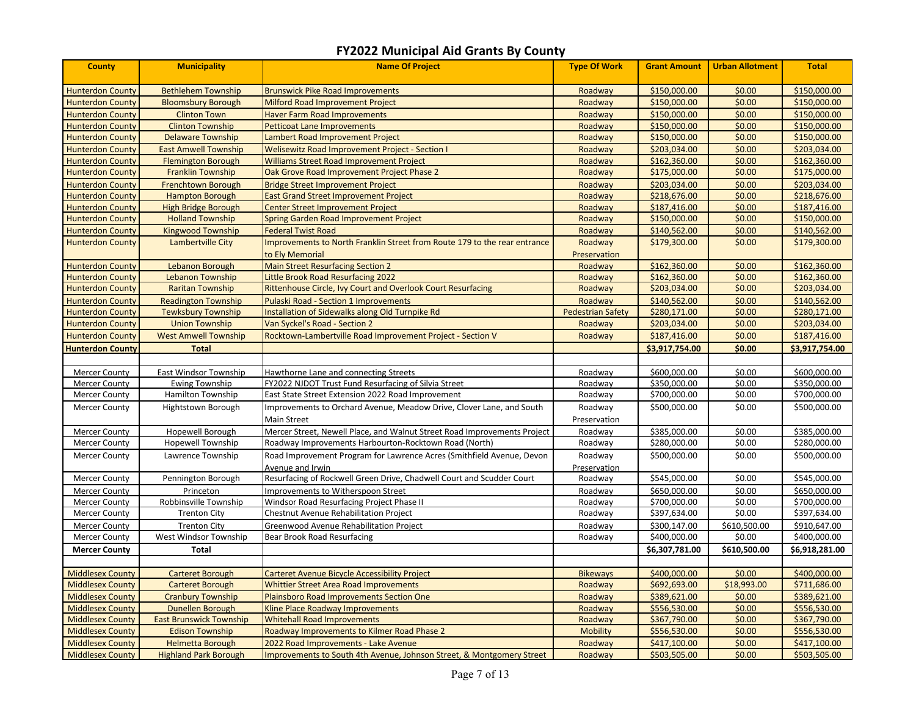| <b>County</b>           | <b>Municipality</b>            | <b>Name Of Project</b>                                                    | <b>Type Of Work</b>      | <b>Grant Amount</b> | <b>Urban Allotment</b> | <b>Total</b>   |
|-------------------------|--------------------------------|---------------------------------------------------------------------------|--------------------------|---------------------|------------------------|----------------|
| <b>Hunterdon County</b> | <b>Bethlehem Township</b>      | <b>Brunswick Pike Road Improvements</b>                                   | Roadway                  | \$150,000.00        | \$0.00                 | \$150,000.00   |
| <b>Hunterdon County</b> | <b>Bloomsbury Borough</b>      | Milford Road Improvement Project                                          | Roadway                  | \$150,000.00        | \$0.00                 | \$150,000.00   |
| <b>Hunterdon County</b> | <b>Clinton Town</b>            | <b>Haver Farm Road Improvements</b>                                       | Roadway                  | \$150,000.00        | \$0.00                 | \$150,000.00   |
| <b>Hunterdon County</b> | <b>Clinton Township</b>        | <b>Petticoat Lane Improvements</b>                                        | Roadway                  | \$150,000.00        | \$0.00                 | \$150,000.00   |
| <b>Hunterdon County</b> | <b>Delaware Township</b>       | Lambert Road Improvement Project                                          | Roadway                  | \$150,000.00        | \$0.00                 | \$150,000.00   |
| <b>Hunterdon County</b> | <b>East Amwell Township</b>    | <b>Welisewitz Road Improvement Project - Section I</b>                    | Roadway                  | \$203,034.00        | \$0.00                 | \$203,034.00   |
| <b>Hunterdon County</b> | <b>Flemington Borough</b>      | <b>Williams Street Road Improvement Project</b>                           | Roadway                  | \$162,360.00        | \$0.00                 | \$162,360.00   |
| <b>Hunterdon County</b> | <b>Franklin Township</b>       | Oak Grove Road Improvement Project Phase 2                                | Roadway                  | \$175,000.00        | \$0.00                 | \$175,000.00   |
| <b>Hunterdon County</b> | <b>Frenchtown Borough</b>      | <b>Bridge Street Improvement Project</b>                                  | Roadway                  | \$203,034.00        | \$0.00                 | \$203,034.00   |
| <b>Hunterdon County</b> | <b>Hampton Borough</b>         | East Grand Street Improvement Project                                     | Roadway                  | \$218,676.00        | \$0.00                 | \$218,676.00   |
| <b>Hunterdon County</b> | <b>High Bridge Borough</b>     | <b>Center Street Improvement Project</b>                                  | Roadway                  | \$187,416.00        | \$0.00                 | \$187,416.00   |
| <b>Hunterdon County</b> | <b>Holland Township</b>        | Spring Garden Road Improvement Project                                    | Roadway                  | \$150,000.00        | \$0.00                 | \$150,000.00   |
| <b>Hunterdon County</b> | <b>Kingwood Township</b>       | <b>Federal Twist Road</b>                                                 | Roadway                  | \$140,562.00        | \$0.00                 | \$140,562.00   |
| <b>Hunterdon County</b> | Lambertville City              | Improvements to North Franklin Street from Route 179 to the rear entrance | Roadway                  | \$179,300.00        | \$0.00                 | \$179,300.00   |
|                         |                                | to Ely Memorial                                                           | Preservation             |                     |                        |                |
| <b>Hunterdon County</b> | Lebanon Borough                | <b>Main Street Resurfacing Section 2</b>                                  | Roadway                  | \$162,360.00        | \$0.00                 | \$162,360.00   |
| <b>Hunterdon County</b> | <b>Lebanon Township</b>        | Little Brook Road Resurfacing 2022                                        | Roadway                  | \$162,360.00        | \$0.00                 | \$162,360.00   |
| <b>Hunterdon County</b> | <b>Raritan Township</b>        | Rittenhouse Circle, Ivy Court and Overlook Court Resurfacing              | Roadway                  | \$203,034.00        | \$0.00                 | \$203,034.00   |
| <b>Hunterdon County</b> | <b>Readington Township</b>     | <b>Pulaski Road - Section 1 Improvements</b>                              | Roadway                  | \$140,562.00        | \$0.00                 | \$140,562.00   |
| <b>Hunterdon County</b> | <b>Tewksbury Township</b>      | Installation of Sidewalks along Old Turnpike Rd                           | <b>Pedestrian Safety</b> | \$280,171.00        | \$0.00                 | \$280,171.00   |
| <b>Hunterdon County</b> | <b>Union Township</b>          | Van Syckel's Road - Section 2                                             | Roadway                  | \$203,034.00        | \$0.00                 | \$203,034.00   |
| <b>Hunterdon County</b> | <b>West Amwell Township</b>    | Rocktown-Lambertville Road Improvement Project - Section V                | Roadway                  | \$187,416.00        | \$0.00                 | \$187,416.00   |
| <b>Hunterdon County</b> | <b>Total</b>                   |                                                                           |                          | \$3,917,754.00      | \$0.00                 | \$3,917,754.00 |
|                         |                                |                                                                           |                          |                     |                        |                |
| <b>Mercer County</b>    | East Windsor Township          | Hawthorne Lane and connecting Streets                                     | Roadway                  | \$600,000.00        | \$0.00                 | \$600,000.00   |
| <b>Mercer County</b>    | <b>Ewing Township</b>          | FY2022 NJDOT Trust Fund Resurfacing of Silvia Street                      | Roadway                  | \$350,000.00        | \$0.00                 | \$350,000.00   |
| <b>Mercer County</b>    | Hamilton Township              | East State Street Extension 2022 Road Improvement                         | Roadway                  | \$700,000.00        | \$0.00                 | \$700,000.00   |
| <b>Mercer County</b>    | Hightstown Borough             | Improvements to Orchard Avenue, Meadow Drive, Clover Lane, and South      | Roadway                  | \$500,000.00        | \$0.00                 | \$500,000.00   |
|                         |                                | <b>Main Street</b>                                                        | Preservation             |                     |                        |                |
| <b>Mercer County</b>    | Hopewell Borough               | Mercer Street, Newell Place, and Walnut Street Road Improvements Project  | Roadway                  | \$385,000.00        | \$0.00                 | \$385,000.00   |
| <b>Mercer County</b>    | Hopewell Township              | Roadway Improvements Harbourton-Rocktown Road (North)                     | Roadway                  | \$280,000.00        | \$0.00                 | \$280,000.00   |
| <b>Mercer County</b>    | Lawrence Township              | Road Improvement Program for Lawrence Acres (Smithfield Avenue, Devon     | Roadway                  | \$500,000.00        | \$0.00                 | \$500,000.00   |
|                         |                                | Avenue and Irwin                                                          | Preservation             |                     |                        |                |
| <b>Mercer County</b>    | Pennington Borough             | Resurfacing of Rockwell Green Drive, Chadwell Court and Scudder Court     | Roadway                  | \$545,000.00        | \$0.00                 | \$545,000.00   |
| <b>Mercer County</b>    | Princeton                      | Improvements to Witherspoon Street                                        | Roadway                  | \$650,000.00        | \$0.00                 | \$650,000.00   |
| <b>Mercer County</b>    | Robbinsville Township          | Windsor Road Resurfacing Project Phase II                                 | Roadway                  | \$700,000.00        | \$0.00                 | \$700,000.00   |
| <b>Mercer County</b>    | <b>Trenton City</b>            | Chestnut Avenue Rehabilitation Project                                    | Roadway                  | \$397,634.00        | \$0.00                 | \$397,634.00   |
| <b>Mercer County</b>    | <b>Trenton City</b>            | Greenwood Avenue Rehabilitation Project                                   | Roadway                  | \$300,147.00        | \$610,500.00           | \$910,647.00   |
| <b>Mercer County</b>    | West Windsor Township          | Bear Brook Road Resurfacing                                               | Roadway                  | \$400,000.00        | \$0.00                 | \$400,000.00   |
| <b>Mercer County</b>    | Total                          |                                                                           |                          | \$6,307,781.00      | \$610,500.00           | \$6,918,281.00 |
|                         |                                |                                                                           |                          |                     |                        |                |
| <b>Middlesex County</b> | <b>Carteret Borough</b>        | Carteret Avenue Bicycle Accessibility Project                             | <b>Bikeways</b>          | \$400,000.00        | \$0.00                 | \$400,000.00   |
| <b>Middlesex County</b> | <b>Carteret Borough</b>        | <b>Whittier Street Area Road Improvements</b>                             | Roadway                  | \$692,693.00        | \$18,993.00            | \$711,686.00   |
| <b>Middlesex County</b> | <b>Cranbury Township</b>       | Plainsboro Road Improvements Section One                                  | Roadway                  | \$389,621.00        | \$0.00                 | \$389,621.00   |
| <b>Middlesex County</b> | Dunellen Borough               | Kline Place Roadway Improvements                                          | Roadway                  | \$556,530.00        | \$0.00                 | \$556,530.00   |
| <b>Middlesex County</b> | <b>East Brunswick Township</b> | <b>Whitehall Road Improvements</b>                                        | Roadway                  | \$367,790.00        | \$0.00                 | \$367,790.00   |
| <b>Middlesex County</b> | <b>Edison Township</b>         | Roadway Improvements to Kilmer Road Phase 2                               | <b>Mobility</b>          | \$556,530.00        | \$0.00                 | \$556,530.00   |
| <b>Middlesex County</b> | <b>Helmetta Borough</b>        | 2022 Road Improvements - Lake Avenue                                      | Roadway                  | \$417,100.00        | \$0.00                 | \$417,100.00   |
| <b>Middlesex County</b> | <b>Highland Park Borough</b>   | Improvements to South 4th Avenue, Johnson Street, & Montgomery Street     | Roadway                  | \$503,505.00        | \$0.00                 | \$503,505.00   |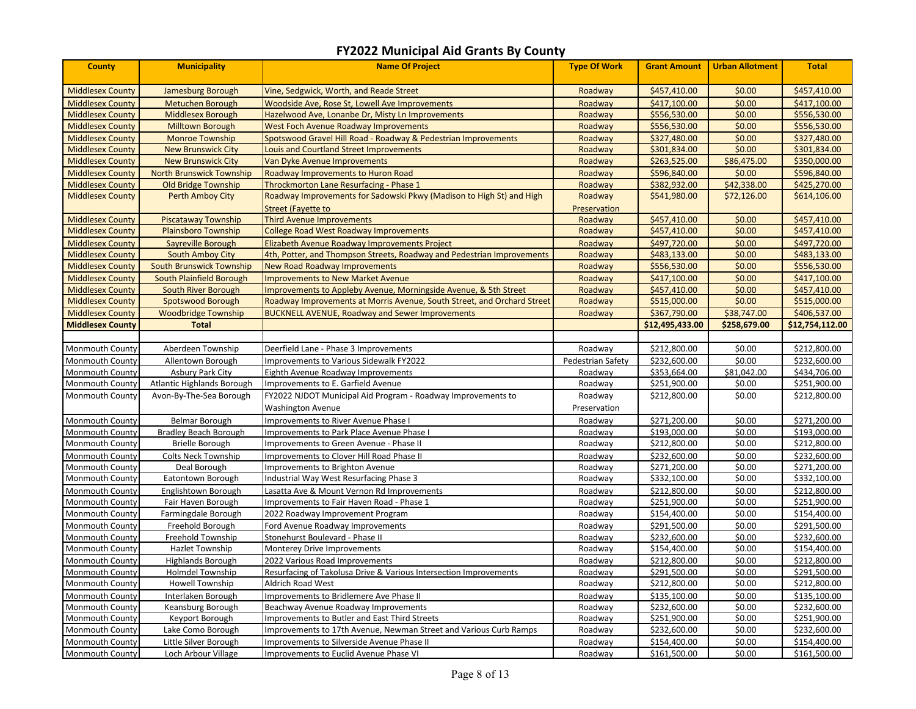| <b>County</b>           | <b>Municipality</b>             | <b>Name Of Project</b>                                                  | <b>Type Of Work</b> | <b>Grant Amount</b> | <b>Urban Allotment</b> | <b>Total</b>    |
|-------------------------|---------------------------------|-------------------------------------------------------------------------|---------------------|---------------------|------------------------|-----------------|
| <b>Middlesex County</b> | Jamesburg Borough               | Vine, Sedgwick, Worth, and Reade Street                                 | Roadway             | \$457,410.00        | \$0.00                 | \$457,410.00    |
| <b>Middlesex County</b> | <b>Metuchen Borough</b>         | Woodside Ave, Rose St, Lowell Ave Improvements                          | Roadway             | \$417,100.00        | \$0.00                 | \$417,100.00    |
| <b>Middlesex County</b> | <b>Middlesex Borough</b>        | Hazelwood Ave, Lonanbe Dr, Misty Ln Improvements                        | Roadway             | \$556,530.00        | \$0.00                 | \$556,530.00    |
| <b>Middlesex County</b> | <b>Milltown Borough</b>         | <b>West Foch Avenue Roadway Improvements</b>                            | Roadway             | \$556,530.00        | \$0.00                 | \$556,530.00    |
| <b>Middlesex County</b> | <b>Monroe Township</b>          | Spotswood Gravel Hill Road - Roadway & Pedestrian Improvements          | Roadway             | \$327,480.00        | \$0.00                 | \$327,480.00    |
| <b>Middlesex County</b> | <b>New Brunswick City</b>       | Louis and Courtland Street Improvements                                 | Roadway             | \$301,834.00        | \$0.00                 | \$301,834.00    |
| <b>Middlesex County</b> | <b>New Brunswick City</b>       | Van Dyke Avenue Improvements                                            | Roadway             | \$263,525.00        | \$86,475.00            | \$350,000.00    |
| <b>Middlesex County</b> | <b>North Brunswick Township</b> | <b>Roadway Improvements to Huron Road</b>                               | Roadway             | \$596,840.00        | \$0.00                 | \$596,840.00    |
| <b>Middlesex County</b> | <b>Old Bridge Township</b>      | Throckmorton Lane Resurfacing - Phase 1                                 | Roadway             | \$382,932.00        | \$42,338.00            | \$425,270.00    |
| <b>Middlesex County</b> | <b>Perth Amboy City</b>         | Roadway Improvements for Sadowski Pkwy (Madison to High St) and High    | Roadway             | \$541,980.00        | \$72,126.00            | \$614,106.00    |
|                         |                                 | <b>Street (Fayette to</b>                                               | Preservation        |                     |                        |                 |
| <b>Middlesex County</b> | <b>Piscataway Township</b>      | <b>Third Avenue Improvements</b>                                        | Roadway             | \$457,410.00        | \$0.00                 | \$457,410.00    |
| <b>Middlesex County</b> | <b>Plainsboro Township</b>      | <b>College Road West Roadway Improvements</b>                           | Roadway             | \$457,410.00        | \$0.00                 | \$457,410.00    |
| <b>Middlesex County</b> | Sayreville Borough              | Elizabeth Avenue Roadway Improvements Project                           | Roadway             | \$497,720.00        | \$0.00                 | \$497,720.00    |
| <b>Middlesex County</b> | <b>South Amboy City</b>         | 4th, Potter, and Thompson Streets, Roadway and Pedestrian Improvements  | Roadway             | \$483,133.00        | \$0.00                 | \$483,133.00    |
| <b>Middlesex County</b> | <b>South Brunswick Township</b> | <b>New Road Roadway Improvements</b>                                    | Roadway             | \$556,530.00        | \$0.00                 | \$556,530.00    |
| <b>Middlesex County</b> | South Plainfield Borough        | <b>Improvements to New Market Avenue</b>                                | Roadway             | \$417,100.00        | \$0.00                 | \$417,100.00    |
| <b>Middlesex County</b> | South River Borough             | Improvements to Appleby Avenue, Morningside Avenue, & 5th Street        | Roadway             | \$457,410.00        | \$0.00                 | \$457,410.00    |
| <b>Middlesex County</b> | <b>Spotswood Borough</b>        | Roadway Improvements at Morris Avenue, South Street, and Orchard Street | Roadway             | \$515,000.00        | \$0.00                 | \$515,000.00    |
| <b>Middlesex County</b> | <b>Woodbridge Township</b>      | <b>BUCKNELL AVENUE, Roadway and Sewer Improvements</b>                  | Roadway             | \$367,790.00        | \$38,747.00            | \$406,537.00    |
| <b>Middlesex County</b> | <b>Total</b>                    |                                                                         |                     | \$12,495,433.00     | \$258,679.00           | \$12,754,112.00 |
| Monmouth County         | Aberdeen Township               | Deerfield Lane - Phase 3 Improvements                                   | Roadway             | \$212,800.00        | \$0.00                 | \$212,800.00    |
| Monmouth County         | Allentown Borough               | Improvements to Various Sidewalk FY2022                                 | Pedestrian Safety   | \$232,600.00        | \$0.00                 | \$232,600.00    |
| Monmouth County         | Asbury Park City                | Eighth Avenue Roadway Improvements                                      | Roadway             | \$353,664.00        | \$81,042.00            | \$434,706.00    |
| Monmouth County         | Atlantic Highlands Borough      | Improvements to E. Garfield Avenue                                      | Roadway             | \$251,900.00        | \$0.00                 | \$251,900.00    |
| <b>Monmouth County</b>  | Avon-By-The-Sea Borough         | FY2022 NJDOT Municipal Aid Program - Roadway Improvements to            | Roadway             | \$212,800.00        | \$0.00                 | \$212,800.00    |
|                         |                                 | <b>Washington Avenue</b>                                                | Preservation        |                     |                        |                 |
| Monmouth County         | Belmar Borough                  | Improvements to River Avenue Phase I                                    | Roadway             | \$271,200.00        | \$0.00                 | \$271,200.00    |
| Monmouth County         | <b>Bradley Beach Borough</b>    | <b>Improvements to Park Place Avenue Phase I</b>                        | Roadway             | \$193,000.00        | \$0.00                 | \$193,000.00    |
| <b>Monmouth County</b>  | <b>Brielle Borough</b>          | Improvements to Green Avenue - Phase II                                 | Roadway             | \$212,800.00        | \$0.00                 | \$212,800.00    |
| <b>Monmouth County</b>  | <b>Colts Neck Township</b>      | Improvements to Clover Hill Road Phase II                               | Roadway             | \$232,600.00        | \$0.00                 | \$232,600.00    |
| Monmouth County         | Deal Borough                    | Improvements to Brighton Avenue                                         | Roadway             | \$271,200.00        | \$0.00                 | \$271,200.00    |
| <b>Monmouth County</b>  | Eatontown Borough               | Industrial Way West Resurfacing Phase 3                                 | Roadway             | \$332,100.00        | \$0.00                 | \$332,100.00    |
| Monmouth County         | Englishtown Borough             | Lasatta Ave & Mount Vernon Rd Improvements                              | Roadway             | \$212,800.00        | \$0.00                 | \$212,800.00    |
| Monmouth County         | Fair Haven Borough              | Improvements to Fair Haven Road - Phase 1                               | Roadway             | \$251,900.00        | \$0.00                 | \$251,900.00    |
| <b>Monmouth County</b>  | Farmingdale Borough             | 2022 Roadway Improvement Program                                        | Roadway             | \$154,400.00        | \$0.00                 | \$154,400.00    |
| <b>Monmouth County</b>  | Freehold Borough                | Ford Avenue Roadway Improvements                                        | Roadway             | \$291,500.00        | \$0.00                 | \$291,500.00    |
| Monmouth County         | Freehold Township               | Stonehurst Boulevard - Phase II                                         | Roadway             | \$232,600.00        | \$0.00                 | \$232,600.00    |
| Monmouth County         | Hazlet Township                 | Monterey Drive Improvements                                             | Roadway             | \$154,400.00        | \$0.00                 | \$154,400.00    |
| Monmouth County         | Highlands Borough               | 2022 Various Road Improvements                                          | Roadway             | \$212,800.00        | \$0.00                 | \$212,800.00    |
| <b>Monmouth County</b>  | <b>Holmdel Township</b>         | Resurfacing of Takolusa Drive & Various Intersection Improvements       | Roadway             | \$291,500.00        | \$0.00                 | \$291,500.00    |
| Monmouth County         | <b>Howell Township</b>          | <b>Aldrich Road West</b>                                                | Roadway             | \$212,800.00        | \$0.00                 | \$212,800.00    |
| Monmouth County         | Interlaken Borough              | Improvements to Bridlemere Ave Phase II                                 | Roadway             | \$135,100.00        | \$0.00                 | \$135,100.00    |
| <b>Monmouth County</b>  | Keansburg Borough               | Beachway Avenue Roadway Improvements                                    | Roadway             | \$232,600.00        | \$0.00                 | \$232,600.00    |
| Monmouth County         | Keyport Borough                 | <b>Improvements to Butler and East Third Streets</b>                    | Roadway             | \$251,900.00        | \$0.00                 | \$251,900.00    |
| Monmouth County         | Lake Como Borough               | Improvements to 17th Avenue, Newman Street and Various Curb Ramps       | Roadway             | \$232,600.00        | \$0.00                 | \$232,600.00    |
| <b>Monmouth County</b>  | Little Silver Borough           | Improvements to Silverside Avenue Phase II                              | Roadway             | \$154,400.00        | \$0.00                 | \$154,400.00    |
| Monmouth County         | Loch Arbour Village             | Improvements to Euclid Avenue Phase VI                                  | Roadway             | \$161,500.00        | \$0.00                 | \$161,500.00    |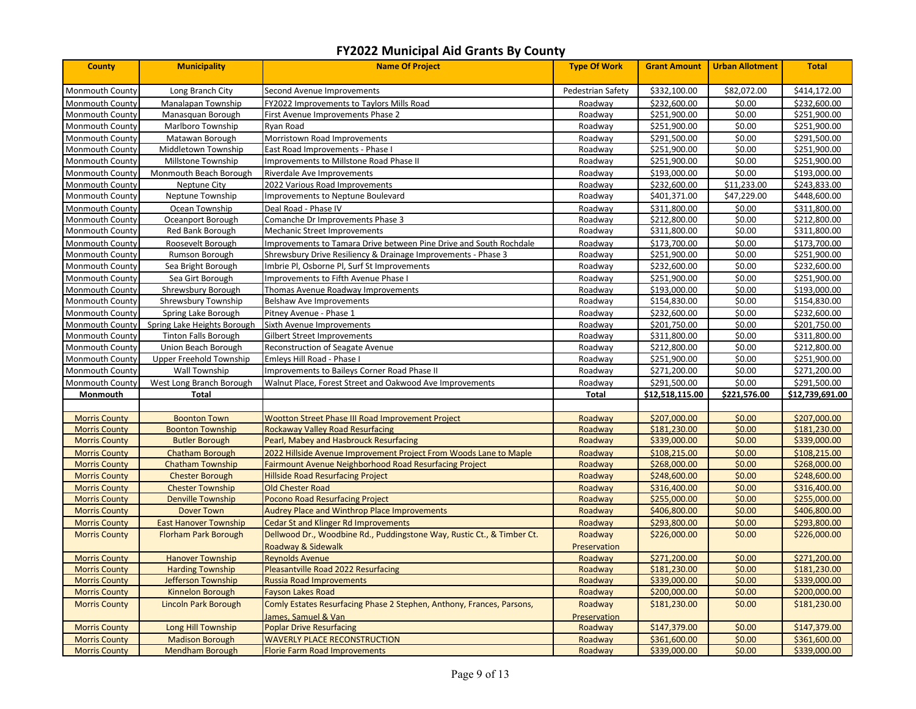| <b>County</b>          | <b>Municipality</b>          | <b>Name Of Project</b>                                                 | <b>Type Of Work</b> | <b>Grant Amount</b> | <b>Urban Allotment</b> | <b>Total</b>    |
|------------------------|------------------------------|------------------------------------------------------------------------|---------------------|---------------------|------------------------|-----------------|
| Monmouth County        | Long Branch City             | Second Avenue Improvements                                             | Pedestrian Safety   | \$332,100.00        | \$82,072.00            | \$414,172.00    |
| Monmouth County        | Manalapan Township           | FY2022 Improvements to Taylors Mills Road                              | Roadway             | \$232,600.00        | \$0.00                 | \$232,600.00    |
| Monmouth County        | Manasquan Borough            | First Avenue Improvements Phase 2                                      | Roadway             | \$251,900.00        | \$0.00                 | \$251,900.00    |
| <b>Monmouth County</b> | Marlboro Township            | Ryan Road                                                              | Roadway             | \$251,900.00        | \$0.00                 | \$251,900.00    |
| Monmouth County        | Matawan Borough              | Morristown Road Improvements                                           | Roadway             | \$291,500.00        | \$0.00                 | \$291,500.00    |
| <b>Monmouth County</b> | Middletown Township          | East Road Improvements - Phase I                                       | Roadway             | \$251,900.00        | \$0.00                 | \$251,900.00    |
| Monmouth County        | Millstone Township           | Improvements to Millstone Road Phase II                                | Roadway             | \$251,900.00        | \$0.00                 | \$251,900.00    |
| <b>Monmouth County</b> | Monmouth Beach Borough       | Riverdale Ave Improvements                                             | Roadway             | \$193,000.00        | \$0.00                 | \$193,000.00    |
| Monmouth County        | Neptune City                 | 2022 Various Road Improvements                                         | Roadway             | \$232,600.00        | \$11,233.00            | \$243,833.00    |
| Monmouth County        | Neptune Township             | Improvements to Neptune Boulevard                                      | Roadway             | \$401,371.00        | \$47,229.00            | \$448,600.00    |
| Monmouth County        | Ocean Township               | Deal Road - Phase IV                                                   | Roadway             | \$311,800.00        | \$0.00                 | \$311,800.00    |
| Monmouth County        | Oceanport Borough            | Comanche Dr Improvements Phase 3                                       | Roadway             | \$212,800.00        | \$0.00                 | \$212,800.00    |
| Monmouth County        | Red Bank Borough             | Mechanic Street Improvements                                           | Roadway             | \$311,800.00        | \$0.00                 | \$311,800.00    |
| Monmouth County        | Roosevelt Borough            | Improvements to Tamara Drive between Pine Drive and South Rochdale     | Roadway             | \$173,700.00        | \$0.00                 | \$173,700.00    |
| Monmouth County        | Rumson Borough               | Shrewsbury Drive Resiliency & Drainage Improvements - Phase 3          | Roadway             | \$251,900.00        | \$0.00                 | \$251,900.00    |
| <b>Monmouth County</b> | Sea Bright Borough           | Imbrie Pl, Osborne Pl, Surf St Improvements                            | Roadway             | \$232,600.00        | \$0.00                 | \$232,600.00    |
| <b>Monmouth County</b> | Sea Girt Borough             | Improvements to Fifth Avenue Phase I                                   | Roadway             | \$251,900.00        | \$0.00                 | \$251,900.00    |
| <b>Monmouth County</b> | Shrewsbury Borough           | Thomas Avenue Roadway Improvements                                     | Roadway             | \$193,000.00        | \$0.00                 | \$193,000.00    |
| Monmouth County        | Shrewsbury Township          | Belshaw Ave Improvements                                               | Roadway             | \$154,830.00        | \$0.00                 | \$154,830.00    |
| <b>Monmouth County</b> | Spring Lake Borough          | Pitney Avenue - Phase 1                                                | Roadway             | \$232,600.00        | \$0.00                 | \$232,600.00    |
| <b>Monmouth County</b> | Spring Lake Heights Borough  | Sixth Avenue Improvements                                              | Roadway             | \$201,750.00        | \$0.00                 | \$201,750.00    |
| Monmouth County        | <b>Tinton Falls Borough</b>  | Gilbert Street Improvements                                            | Roadway             | \$311,800.00        | \$0.00                 | \$311,800.00    |
| Monmouth County        | Union Beach Borough          | Reconstruction of Seagate Avenue                                       | Roadway             | \$212,800.00        | \$0.00                 | \$212,800.00    |
| Monmouth County        | Upper Freehold Township      | Emleys Hill Road - Phase I                                             | Roadwav             | \$251,900.00        | \$0.00                 | \$251,900.00    |
| Monmouth County        | Wall Township                | Improvements to Baileys Corner Road Phase II                           | Roadway             | \$271,200.00        | \$0.00                 | \$271,200.00    |
| Monmouth County        | West Long Branch Borough     | Walnut Place, Forest Street and Oakwood Ave Improvements               | Roadway             | \$291,500.00        | \$0.00                 | \$291,500.00    |
| Monmouth               | Total                        |                                                                        | Total               | \$12,518,115.00     | \$221,576.00           | \$12,739,691.00 |
| <b>Morris County</b>   | <b>Boonton Town</b>          | Wootton Street Phase III Road Improvement Project                      | Roadway             | \$207,000.00        | \$0.00                 | \$207,000.00    |
| <b>Morris County</b>   | <b>Boonton Township</b>      | <b>Rockaway Valley Road Resurfacing</b>                                | Roadway             | \$181,230.00        | \$0.00                 | \$181,230.00    |
| <b>Morris County</b>   | <b>Butler Borough</b>        | Pearl, Mabey and Hasbrouck Resurfacing                                 | Roadway             | \$339,000.00        | \$0.00                 | \$339,000.00    |
| <b>Morris County</b>   | <b>Chatham Borough</b>       | 2022 Hillside Avenue Improvement Project From Woods Lane to Maple      | Roadway             | \$108,215.00        | \$0.00                 | \$108,215.00    |
| <b>Morris County</b>   | <b>Chatham Township</b>      | <b>Fairmount Avenue Neighborhood Road Resurfacing Project</b>          | Roadway             | \$268,000.00        | \$0.00                 | \$268,000.00    |
| <b>Morris County</b>   | <b>Chester Borough</b>       | <b>Hillside Road Resurfacing Project</b>                               | Roadway             | \$248,600.00        | \$0.00                 | \$248,600.00    |
| <b>Morris County</b>   | <b>Chester Township</b>      | Old Chester Road                                                       | Roadway             | \$316,400.00        | \$0.00                 | \$316,400.00    |
| <b>Morris County</b>   | <b>Denville Township</b>     | <b>Pocono Road Resurfacing Project</b>                                 | Roadway             | \$255,000.00        | \$0.00                 | \$255,000.00    |
| <b>Morris County</b>   | <b>Dover Town</b>            | <b>Audrey Place and Winthrop Place Improvements</b>                    | Roadway             | \$406,800.00        | \$0.00                 | \$406,800.00    |
| <b>Morris County</b>   | <b>East Hanover Township</b> | <b>Cedar St and Klinger Rd Improvements</b>                            | Roadway             | \$293,800.00        | \$0.00                 | \$293,800.00    |
| <b>Morris County</b>   | <b>Florham Park Borough</b>  | Dellwood Dr., Woodbine Rd., Puddingstone Way, Rustic Ct., & Timber Ct. | Roadway             | \$226,000.00        | \$0.00                 | \$226,000.00    |
|                        |                              | Roadway & Sidewalk                                                     | Preservation        |                     |                        |                 |
| <b>Morris County</b>   | <b>Hanover Township</b>      | <b>Reynolds Avenue</b>                                                 | Roadway             | \$271,200.00        | \$0.00                 | \$271,200.00    |
| <b>Morris County</b>   | <b>Harding Township</b>      | Pleasantville Road 2022 Resurfacing                                    | Roadway             | \$181,230.00        | \$0.00                 | \$181,230.00    |
| <b>Morris County</b>   | Jefferson Township           | <b>Russia Road Improvements</b>                                        | Roadway             | \$339,000.00        | \$0.00                 | \$339,000.00    |
| <b>Morris County</b>   | Kinnelon Borough             | <b>Fayson Lakes Road</b>                                               | Roadway             | \$200,000.00        | \$0.00                 | \$200,000.00    |
| <b>Morris County</b>   | <b>Lincoln Park Borough</b>  | Comly Estates Resurfacing Phase 2 Stephen, Anthony, Frances, Parsons,  | Roadway             | \$181,230.00        | \$0.00                 | \$181,230.00    |
|                        |                              | James, Samuel & Van                                                    | Preservation        |                     |                        |                 |
| <b>Morris County</b>   | Long Hill Township           | <b>Poplar Drive Resurfacing</b>                                        | Roadway             | \$147,379.00        | \$0.00                 | \$147,379.00    |
| <b>Morris County</b>   | <b>Madison Borough</b>       | <b>WAVERLY PLACE RECONSTRUCTION</b>                                    | Roadway             | \$361,600.00        | \$0.00                 | \$361,600.00    |
| <b>Morris County</b>   | <b>Mendham Borough</b>       | <b>Florie Farm Road Improvements</b>                                   | Roadway             | \$339,000.00        | \$0.00                 | \$339,000.00    |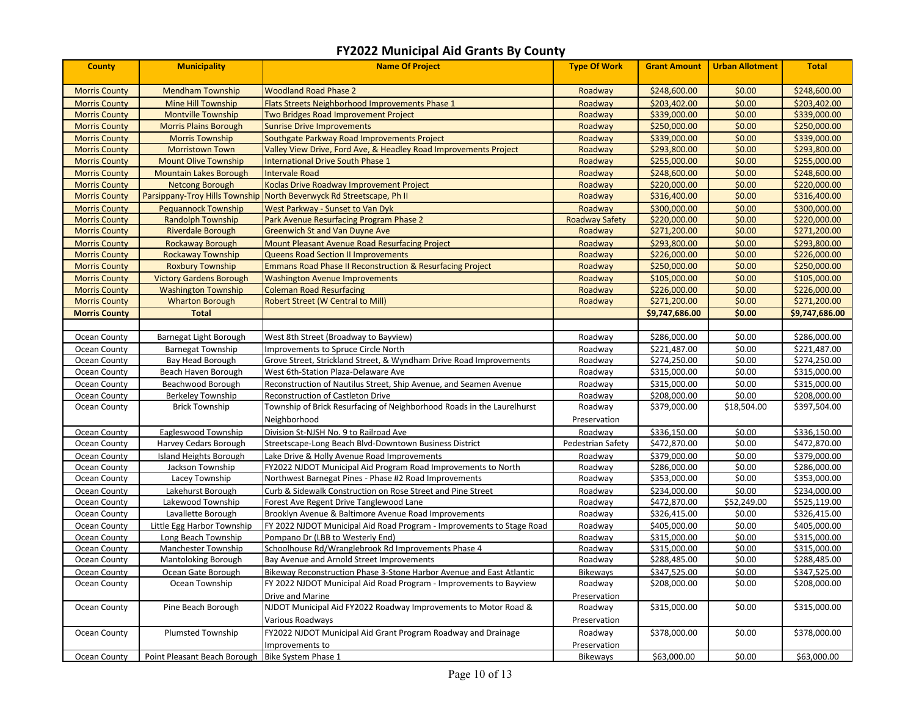| <b>County</b>        | <b>Municipality</b>                              | <b>Name Of Project</b>                                                 | <b>Type Of Work</b>   | <b>Grant Amount</b> | <b>Urban Allotment</b> | <b>Total</b>   |
|----------------------|--------------------------------------------------|------------------------------------------------------------------------|-----------------------|---------------------|------------------------|----------------|
| <b>Morris County</b> | <b>Mendham Township</b>                          | <b>Woodland Road Phase 2</b>                                           | Roadway               | \$248,600.00        | \$0.00                 | \$248,600.00   |
| <b>Morris County</b> | <b>Mine Hill Township</b>                        | Flats Streets Neighborhood Improvements Phase 1                        | Roadway               | \$203,402.00        | \$0.00                 | \$203,402.00   |
| <b>Morris County</b> | <b>Montville Township</b>                        | Two Bridges Road Improvement Project                                   | Roadway               | \$339,000.00        | \$0.00                 | \$339,000.00   |
| <b>Morris County</b> | <b>Morris Plains Borough</b>                     | <b>Sunrise Drive Improvements</b>                                      | Roadway               | \$250,000.00        | \$0.00                 | \$250,000.00   |
| <b>Morris County</b> | <b>Morris Township</b>                           | Southgate Parkway Road Improvements Project                            | Roadway               | \$339,000.00        | \$0.00                 | \$339,000.00   |
| <b>Morris County</b> | <b>Morristown Town</b>                           | Valley View Drive, Ford Ave, & Headley Road Improvements Project       | Roadway               | \$293,800.00        | \$0.00                 | \$293,800.00   |
| <b>Morris County</b> | <b>Mount Olive Township</b>                      | <b>International Drive South Phase 1</b>                               | Roadway               | \$255,000.00        | \$0.00                 | \$255,000.00   |
| <b>Morris County</b> | <b>Mountain Lakes Borough</b>                    | Intervale Road                                                         | Roadway               | \$248,600.00        | \$0.00                 | \$248,600.00   |
| <b>Morris County</b> | <b>Netcong Borough</b>                           | Koclas Drive Roadway Improvement Project                               | Roadway               | \$220,000.00        | \$0.00                 | \$220,000.00   |
| <b>Morris County</b> | Parsippany-Troy Hills Township                   | North Beverwyck Rd Streetscape, Ph II                                  | Roadway               | \$316,400.00        | \$0.00                 | \$316,400.00   |
| <b>Morris County</b> | <b>Pequannock Township</b>                       | West Parkway - Sunset to Van Dyk                                       | Roadway               | \$300,000.00        | \$0.00                 | \$300,000.00   |
| <b>Morris County</b> | Randolph Township                                | Park Avenue Resurfacing Program Phase 2                                | <b>Roadway Safety</b> | \$220,000.00        | \$0.00                 | \$220,000.00   |
| <b>Morris County</b> | <b>Riverdale Borough</b>                         | <b>Greenwich St and Van Duyne Ave</b>                                  | Roadway               | \$271,200.00        | \$0.00                 | \$271,200.00   |
| <b>Morris County</b> | <b>Rockaway Borough</b>                          | Mount Pleasant Avenue Road Resurfacing Project                         | Roadway               | \$293,800.00        | \$0.00                 | \$293,800.00   |
| <b>Morris County</b> | <b>Rockaway Township</b>                         | <b>Queens Road Section II Improvements</b>                             | Roadway               | \$226,000.00        | \$0.00                 | \$226,000.00   |
| <b>Morris County</b> | <b>Roxbury Township</b>                          | <b>Emmans Road Phase II Reconstruction &amp; Resurfacing Project</b>   | Roadway               | \$250,000.00        | \$0.00                 | \$250,000.00   |
| <b>Morris County</b> | <b>Victory Gardens Borough</b>                   | <b>Washington Avenue Improvements</b>                                  | Roadway               | \$105,000.00        | \$0.00                 | \$105,000.00   |
| <b>Morris County</b> | <b>Washington Township</b>                       | <b>Coleman Road Resurfacing</b>                                        | Roadway               | \$226,000.00        | \$0.00                 | \$226,000.00   |
| <b>Morris County</b> | <b>Wharton Borough</b>                           | <b>Robert Street (W Central to Mill)</b>                               | Roadway               | \$271,200.00        | \$0.00                 | \$271,200.00   |
| <b>Morris County</b> | <b>Total</b>                                     |                                                                        |                       | \$9,747,686.00      | \$0.00                 | \$9,747,686.00 |
|                      |                                                  |                                                                        |                       |                     |                        |                |
| Ocean County         | Barnegat Light Borough                           | West 8th Street (Broadway to Bayview)                                  | Roadway               | \$286,000.00        | \$0.00                 | \$286,000.00   |
| Ocean County         | <b>Barnegat Township</b>                         | Improvements to Spruce Circle North                                    | Roadway               | \$221,487.00        | \$0.00                 | \$221,487.00   |
| Ocean County         | <b>Bay Head Borough</b>                          | Grove Street, Strickland Street, & Wyndham Drive Road Improvements     | Roadway               | \$274,250.00        | \$0.00                 | \$274,250.00   |
| Ocean County         | Beach Haven Borough                              | West 6th-Station Plaza-Delaware Ave                                    | Roadway               | \$315,000.00        | \$0.00                 | \$315,000.00   |
| Ocean County         | Beachwood Borough                                | Reconstruction of Nautilus Street, Ship Avenue, and Seamen Avenue      | Roadway               | \$315,000.00        | \$0.00                 | \$315,000.00   |
| Ocean County         | <b>Berkeley Township</b>                         | Reconstruction of Castleton Drive                                      | Roadway               | \$208,000.00        | \$0.00                 | \$208,000.00   |
| Ocean County         | <b>Brick Township</b>                            | Township of Brick Resurfacing of Neighborhood Roads in the Laurelhurst | Roadway               | \$379,000.00        | \$18,504.00            | \$397,504.00   |
|                      |                                                  | Neighborhood                                                           | Preservation          |                     |                        |                |
| Ocean County         | Eagleswood Township                              | Division St-NJSH No. 9 to Railroad Ave                                 | Roadway               | \$336,150.00        | \$0.00                 | \$336,150.00   |
| Ocean County         | Harvey Cedars Borough                            | Streetscape-Long Beach Blvd-Downtown Business District                 | Pedestrian Safety     | \$472,870.00        | \$0.00                 | \$472,870.00   |
| Ocean County         | Island Heights Borough                           | Lake Drive & Holly Avenue Road Improvements                            | Roadway               | \$379,000.00        | \$0.00                 | \$379,000.00   |
| Ocean County         | Jackson Township                                 | FY2022 NJDOT Municipal Aid Program Road Improvements to North          | Roadway               | \$286,000.00        | \$0.00                 | \$286,000.00   |
| Ocean County         | Lacey Township                                   | Northwest Barnegat Pines - Phase #2 Road Improvements                  | Roadway               | \$353,000.00        | \$0.00                 | \$353,000.00   |
| Ocean County         | Lakehurst Borough                                | Curb & Sidewalk Construction on Rose Street and Pine Street            | Roadway               | \$234,000.00        | \$0.00                 | \$234,000.00   |
| Ocean County         | Lakewood Township                                | Forest Ave Regent Drive Tanglewood Lane                                | Roadway               | \$472,870.00        | \$52,249.00            | \$525,119.00   |
| Ocean County         | Lavallette Borough                               | Brooklyn Avenue & Baltimore Avenue Road Improvements                   | Roadway               | \$326,415.00        | \$0.00                 | \$326,415.00   |
| Ocean County         | Little Egg Harbor Township                       | FY 2022 NJDOT Municipal Aid Road Program - Improvements to Stage Road  | Roadway               | \$405,000.00        | \$0.00                 | \$405,000.00   |
| Ocean County         | Long Beach Township                              | Pompano Dr (LBB to Westerly End)                                       | Roadway               | \$315,000.00        | \$0.00                 | \$315,000.00   |
| Ocean County         | Manchester Township                              | Schoolhouse Rd/Wranglebrook Rd Improvements Phase 4                    | Roadway               | \$315,000.00        | \$0.00                 | \$315,000.00   |
| Ocean County         | Mantoloking Borough                              | Bay Avenue and Arnold Street Improvements                              | Roadway               | \$288,485.00        | \$0.00                 | \$288,485.00   |
| Ocean County         | Ocean Gate Borough                               | Bikeway Reconstruction Phase 3-Stone Harbor Avenue and East Atlantic   | Bikeways              | \$347,525.00        | \$0.00                 | \$347,525.00   |
| Ocean County         | Ocean Township                                   | FY 2022 NJDOT Municipal Aid Road Program - Improvements to Bayview     | Roadway               | \$208,000.00        | \$0.00                 | \$208,000.00   |
|                      |                                                  | Drive and Marine                                                       | Preservation          |                     |                        |                |
| Ocean County         | Pine Beach Borough                               | NJDOT Municipal Aid FY2022 Roadway Improvements to Motor Road &        | Roadway               | \$315,000.00        | \$0.00                 | \$315,000.00   |
|                      |                                                  | Various Roadways                                                       | Preservation          |                     |                        |                |
| Ocean County         | Plumsted Township                                | FY2022 NJDOT Municipal Aid Grant Program Roadway and Drainage          | Roadway               | \$378,000.00        | \$0.00                 | \$378,000.00   |
|                      |                                                  | Improvements to                                                        | Preservation          |                     |                        |                |
| Ocean County         | Point Pleasant Beach Borough Bike System Phase 1 |                                                                        | Bikeways              | \$63,000.00         | \$0.00                 | \$63,000.00    |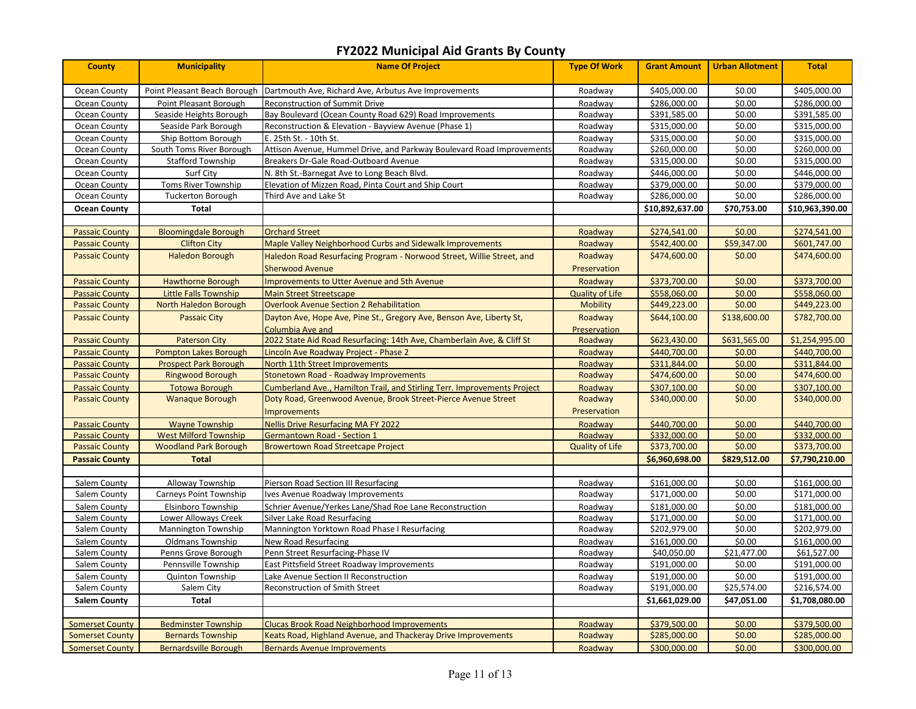| <b>County</b>          | <b>Municipality</b>          | <b>Name Of Project</b>                                                   | <b>Type Of Work</b>    | <b>Grant Amount</b> | <b>Urban Allotment</b> | <b>Total</b>    |
|------------------------|------------------------------|--------------------------------------------------------------------------|------------------------|---------------------|------------------------|-----------------|
| Ocean County           | Point Pleasant Beach Borough | Dartmouth Ave, Richard Ave, Arbutus Ave Improvements                     | Roadway                | \$405,000.00        | \$0.00                 | \$405,000.00    |
| Ocean County           | Point Pleasant Borough       | Reconstruction of Summit Drive                                           | Roadway                | \$286,000.00        | \$0.00                 | \$286,000.00    |
| <b>Ocean County</b>    | Seaside Heights Borough      | Bay Boulevard (Ocean County Road 629) Road Improvements                  | Roadway                | \$391,585.00        | \$0.00                 | \$391,585.00    |
| Ocean County           | Seaside Park Borough         | Reconstruction & Elevation - Bayview Avenue (Phase 1)                    | Roadway                | \$315,000.00        | \$0.00                 | \$315,000.00    |
| Ocean County           | Ship Bottom Borough          | E. 25th St. - 10th St.                                                   | Roadway                | \$315,000.00        | \$0.00                 | \$315,000.00    |
| Ocean County           | South Toms River Borough     | Attison Avenue, Hummel Drive, and Parkway Boulevard Road Improvements    | Roadway                | \$260,000.00        | \$0.00                 | \$260,000.00    |
| Ocean County           | <b>Stafford Township</b>     | Breakers Dr-Gale Road-Outboard Avenue                                    | Roadway                | \$315,000.00        | \$0.00                 | \$315,000.00    |
| Ocean County           | Surf City                    | N. 8th St.-Barnegat Ave to Long Beach Blvd.                              | Roadway                | \$446,000.00        | \$0.00                 | \$446,000.00    |
| Ocean County           | <b>Toms River Township</b>   | Elevation of Mizzen Road, Pinta Court and Ship Court                     | Roadway                | \$379,000.00        | \$0.00                 | \$379,000.00    |
| Ocean County           | <b>Tuckerton Borough</b>     | Third Ave and Lake St                                                    | Roadway                | \$286,000.00        | \$0.00                 | \$286,000.00    |
| <b>Ocean County</b>    | <b>Total</b>                 |                                                                          |                        | \$10,892,637.00     | \$70,753.00            | \$10,963,390.00 |
|                        |                              |                                                                          |                        |                     |                        |                 |
| <b>Passaic County</b>  | <b>Bloomingdale Borough</b>  | <b>Orchard Street</b>                                                    | Roadway                | \$274,541.00        | \$0.00                 | \$274,541.00    |
| <b>Passaic County</b>  | <b>Clifton City</b>          | Maple Valley Neighborhood Curbs and Sidewalk Improvements                | Roadway                | \$542,400.00        | \$59,347.00            | \$601,747.00    |
| <b>Passaic County</b>  | <b>Haledon Borough</b>       | Haledon Road Resurfacing Program - Norwood Street, Willie Street, and    | Roadway                | \$474,600.00        | \$0.00                 | \$474,600.00    |
|                        |                              | <b>Sherwood Avenue</b>                                                   | Preservation           |                     |                        |                 |
| <b>Passaic County</b>  | <b>Hawthorne Borough</b>     | Improvements to Utter Avenue and 5th Avenue                              | Roadway                | \$373,700.00        | \$0.00                 | \$373,700.00    |
| <b>Passaic County</b>  | <b>Little Falls Township</b> | <b>Main Street Streetscape</b>                                           | <b>Quality of Life</b> | \$558,060.00        | \$0.00                 | \$558,060.00    |
| <b>Passaic County</b>  | North Haledon Borough        | <b>Overlook Avenue Section 2 Rehabilitation</b>                          | Mobility               | \$449,223.00        | \$0.00                 | \$449,223.00    |
| <b>Passaic County</b>  | <b>Passaic City</b>          | Dayton Ave, Hope Ave, Pine St., Gregory Ave, Benson Ave, Liberty St,     | Roadway                | \$644,100.00        | \$138,600.00           | \$782,700.00    |
|                        |                              | Columbia Ave and                                                         | Preservation           |                     |                        |                 |
| <b>Passaic County</b>  | <b>Paterson City</b>         | 2022 State Aid Road Resurfacing: 14th Ave, Chamberlain Ave, & Cliff St   | Roadway                | \$623,430.00        | \$631,565.00           | \$1,254,995.00  |
| <b>Passaic County</b>  | <b>Pompton Lakes Borough</b> | Lincoln Ave Roadway Project - Phase 2                                    | Roadway                | \$440,700.00        | \$0.00                 | \$440,700.00    |
| <b>Passaic County</b>  | <b>Prospect Park Borough</b> | North 11th Street Improvements                                           | Roadway                | \$311,844.00        | \$0.00                 | \$311,844.00    |
| <b>Passaic County</b>  | <b>Ringwood Borough</b>      | Stonetown Road - Roadway Improvements                                    | Roadway                | \$474,600.00        | \$0.00                 | \$474,600.00    |
| <b>Passaic County</b>  | <b>Totowa Borough</b>        | Cumberland Ave., Hamilton Trail, and Stirling Terr. Improvements Project | Roadway                | \$307,100.00        | \$0.00                 | \$307,100.00    |
| <b>Passaic County</b>  | <b>Wanaque Borough</b>       | Doty Road, Greenwood Avenue, Brook Street-Pierce Avenue Street           | Roadway                | \$340,000.00        | \$0.00                 | \$340,000.00    |
|                        |                              | <b>Improvements</b>                                                      | Preservation           |                     |                        |                 |
| <b>Passaic County</b>  | <b>Wayne Township</b>        | <b>Nellis Drive Resurfacing MA FY 2022</b>                               | Roadway                | \$440,700.00        | \$0.00                 | \$440,700.00    |
| <b>Passaic County</b>  | <b>West Milford Township</b> | <b>Germantown Road - Section 1</b>                                       | Roadway                | \$332,000.00        | \$0.00                 | \$332,000.00    |
| <b>Passaic County</b>  | <b>Woodland Park Borough</b> | <b>Browertown Road Streetcape Project</b>                                | <b>Quality of Life</b> | \$373,700.00        | \$0.00                 | \$373,700.00    |
| <b>Passaic County</b>  | <b>Total</b>                 |                                                                          |                        | \$6,960,698.00      | \$829,512.00           | \$7,790,210.00  |
|                        |                              |                                                                          |                        |                     |                        |                 |
| Salem County           | Alloway Township             | Pierson Road Section III Resurfacing                                     | Roadway                | \$161,000.00        | \$0.00                 | \$161,000.00    |
| Salem County           | Carneys Point Township       | ves Avenue Roadway Improvements                                          | Roadway                | \$171,000.00        | \$0.00                 | \$171,000.00    |
| Salem County           | Elsinboro Township           | Schrier Avenue/Yerkes Lane/Shad Roe Lane Reconstruction                  | Roadway                | \$181,000.00        | \$0.00                 | \$181,000.00    |
| Salem County           | Lower Alloways Creek         | Silver Lake Road Resurfacing                                             | Roadway                | \$171,000.00        | \$0.00                 | \$171,000.00    |
| Salem County           | Mannington Township          | Mannington Yorktown Road Phase I Resurfacing                             | Roadway                | \$202,979.00        | \$0.00                 | \$202,979.00    |
| Salem County           | <b>Oldmans Township</b>      | New Road Resurfacing                                                     | Roadway                | \$161,000.00        | \$0.00                 | \$161,000.00    |
| Salem County           | Penns Grove Borough          | Penn Street Resurfacing-Phase IV                                         | Roadway                | \$40,050.00         | \$21,477.00            | \$61,527.00     |
| Salem County           | Pennsville Township          | East Pittsfield Street Roadway Improvements                              | Roadway                | \$191,000.00        | \$0.00                 | \$191,000.00    |
| Salem County           | <b>Quinton Township</b>      | Lake Avenue Section II Reconstruction                                    | Roadway                | \$191,000.00        | \$0.00                 | \$191,000.00    |
| Salem County           | Salem City                   | Reconstruction of Smith Street                                           | Roadway                | \$191,000.00        | \$25,574.00            | \$216,574.00    |
| <b>Salem County</b>    | Total                        |                                                                          |                        | \$1,661,029.00      | \$47,051.00            | \$1,708,080.00  |
|                        |                              |                                                                          |                        |                     |                        |                 |
| <b>Somerset County</b> | <b>Bedminster Township</b>   | <b>Clucas Brook Road Neighborhood Improvements</b>                       | Roadway                | \$379,500.00        | \$0.00                 | \$379,500.00    |
| <b>Somerset County</b> | <b>Bernards Township</b>     | Keats Road, Highland Avenue, and Thackeray Drive Improvements            | Roadway                | \$285,000.00        | \$0.00                 | \$285,000.00    |
| <b>Somerset County</b> | <b>Bernardsville Borough</b> | <b>Bernards Avenue Improvements</b>                                      | Roadway                | \$300,000.00        | \$0.00                 | \$300,000.00    |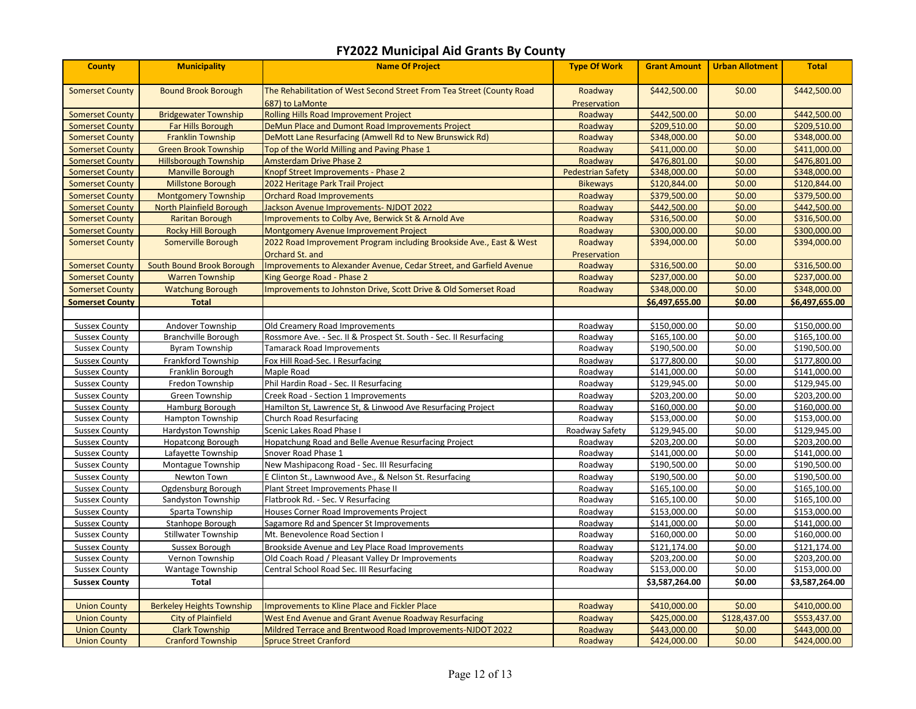| <b>County</b>          | <b>Municipality</b>              | <b>Name Of Project</b>                                                                   | <b>Type Of Work</b>      | <b>Grant Amount</b> | <b>Urban Allotment</b> | <b>Total</b>   |
|------------------------|----------------------------------|------------------------------------------------------------------------------------------|--------------------------|---------------------|------------------------|----------------|
| <b>Somerset County</b> | <b>Bound Brook Borough</b>       | The Rehabilitation of West Second Street From Tea Street (County Road<br>687) to LaMonte | Roadway<br>Preservation  | \$442,500.00        | \$0.00                 | \$442,500.00   |
| <b>Somerset County</b> | <b>Bridgewater Township</b>      | <b>Rolling Hills Road Improvement Project</b>                                            | Roadway                  | \$442,500.00        | \$0.00                 | \$442,500.00   |
| <b>Somerset County</b> | Far Hills Borough                | DeMun Place and Dumont Road Improvements Project                                         | Roadway                  | \$209,510.00        | \$0.00                 | \$209,510.00   |
| <b>Somerset County</b> | <b>Franklin Township</b>         | DeMott Lane Resurfacing (Amwell Rd to New Brunswick Rd)                                  | Roadway                  | \$348,000.00        | \$0.00                 | \$348,000.00   |
| <b>Somerset County</b> | <b>Green Brook Township</b>      | Top of the World Milling and Paving Phase 1                                              | Roadway                  | \$411,000.00        | \$0.00                 | \$411,000.00   |
| <b>Somerset County</b> | <b>Hillsborough Township</b>     | <b>Amsterdam Drive Phase 2</b>                                                           | Roadway                  | \$476,801.00        | \$0.00                 | \$476,801.00   |
| <b>Somerset County</b> | <b>Manville Borough</b>          | Knopf Street Improvements - Phase 2                                                      | <b>Pedestrian Safety</b> | \$348,000.00        | \$0.00                 | \$348,000.00   |
| <b>Somerset County</b> | <b>Millstone Borough</b>         | 2022 Heritage Park Trail Project                                                         | <b>Bikeways</b>          | \$120,844.00        | \$0.00                 | \$120,844.00   |
| <b>Somerset County</b> | <b>Montgomery Township</b>       | <b>Orchard Road Improvements</b>                                                         | Roadway                  | \$379,500.00        | \$0.00                 | \$379,500.00   |
| <b>Somerset County</b> | <b>North Plainfield Borough</b>  | Jackson Avenue Improvements-NJDOT 2022                                                   | Roadway                  | \$442,500.00        | \$0.00                 | \$442,500.00   |
| <b>Somerset County</b> | <b>Raritan Borough</b>           | Improvements to Colby Ave, Berwick St & Arnold Ave                                       | Roadway                  | \$316,500.00        | \$0.00                 | \$316,500.00   |
| <b>Somerset County</b> | <b>Rocky Hill Borough</b>        | Montgomery Avenue Improvement Project                                                    | Roadway                  | \$300,000.00        | \$0.00                 | \$300,000.00   |
| <b>Somerset County</b> | Somerville Borough               | 2022 Road Improvement Program including Brookside Ave., East & West                      | Roadway                  | \$394,000.00        | \$0.00                 | \$394,000.00   |
|                        |                                  | Orchard St. and                                                                          | Preservation             |                     |                        |                |
| <b>Somerset County</b> | South Bound Brook Borough        | Improvements to Alexander Avenue, Cedar Street, and Garfield Avenue                      | Roadway                  | \$316,500.00        | \$0.00                 | \$316,500.00   |
| <b>Somerset County</b> | <b>Warren Township</b>           | King George Road - Phase 2                                                               | Roadway                  | \$237,000.00        | \$0.00                 | \$237,000.00   |
| <b>Somerset County</b> | <b>Watchung Borough</b>          | Improvements to Johnston Drive, Scott Drive & Old Somerset Road                          | Roadway                  | \$348,000.00        | \$0.00                 | \$348,000.00   |
| <b>Somerset County</b> | <b>Total</b>                     |                                                                                          |                          | \$6,497,655.00      | \$0.00                 | \$6,497,655.00 |
|                        |                                  |                                                                                          |                          |                     |                        |                |
| <b>Sussex County</b>   | Andover Township                 | Old Creamery Road Improvements                                                           | Roadway                  | \$150,000.00        | \$0.00                 | \$150,000.00   |
| <b>Sussex County</b>   | Branchville Borough              | Rossmore Ave. - Sec. II & Prospect St. South - Sec. II Resurfacing                       | Roadway                  | \$165,100.00        | \$0.00                 | \$165,100.00   |
| <b>Sussex County</b>   | <b>Byram Township</b>            | <b>Tamarack Road Improvements</b>                                                        | Roadway                  | \$190,500.00        | \$0.00                 | \$190,500.00   |
| <b>Sussex County</b>   | Frankford Township               | Fox Hill Road-Sec. I Resurfacing                                                         | Roadway                  | \$177,800.00        | \$0.00                 | \$177,800.00   |
| <b>Sussex County</b>   | Franklin Borough                 | Maple Road                                                                               | Roadway                  | \$141,000.00        | \$0.00                 | \$141,000.00   |
| <b>Sussex County</b>   | Fredon Township                  | Phil Hardin Road - Sec. II Resurfacing                                                   | Roadway                  | \$129,945.00        | \$0.00                 | \$129,945.00   |
| <b>Sussex County</b>   | Green Township                   | Creek Road - Section 1 Improvements                                                      | Roadway                  | \$203,200.00        | \$0.00                 | \$203,200.00   |
| <b>Sussex County</b>   | Hamburg Borough                  | Hamilton St, Lawrence St, & Linwood Ave Resurfacing Project                              | Roadway                  | \$160,000.00        | \$0.00                 | \$160,000.00   |
| <b>Sussex County</b>   | Hampton Township                 | Church Road Resurfacing                                                                  | Roadway                  | \$153,000.00        | \$0.00                 | \$153,000.00   |
| <b>Sussex County</b>   | <b>Hardyston Township</b>        | Scenic Lakes Road Phase I                                                                | Roadway Safety           | \$129,945.00        | \$0.00                 | \$129,945.00   |
| <b>Sussex County</b>   | Hopatcong Borough                | Hopatchung Road and Belle Avenue Resurfacing Project                                     | Roadway                  | \$203,200.00        | \$0.00                 | \$203,200.00   |
| <b>Sussex County</b>   | Lafayette Township               | Snover Road Phase 1                                                                      | Roadway                  | \$141,000.00        | \$0.00                 | \$141,000.00   |
| <b>Sussex County</b>   | Montague Township                | New Mashipacong Road - Sec. III Resurfacing                                              | Roadway                  | \$190,500.00        | \$0.00                 | \$190,500.00   |
| <b>Sussex County</b>   | Newton Town                      | E Clinton St., Lawnwood Ave., & Nelson St. Resurfacing                                   | Roadway                  | \$190,500.00        | \$0.00                 | \$190,500.00   |
| <b>Sussex County</b>   | Ogdensburg Borough               | Plant Street Improvements Phase II                                                       | Roadway                  | \$165,100.00        | \$0.00                 | \$165,100.00   |
| <b>Sussex County</b>   | Sandyston Township               | Flatbrook Rd. - Sec. V Resurfacing                                                       | Roadway                  | \$165,100.00        | \$0.00                 | \$165,100.00   |
| <b>Sussex County</b>   | Sparta Township                  | Houses Corner Road Improvements Project                                                  | Roadway                  | \$153,000.00        | \$0.00                 | \$153,000.00   |
| <b>Sussex County</b>   | Stanhope Borough                 | Sagamore Rd and Spencer St Improvements                                                  | Roadway                  | \$141,000.00        | \$0.00                 | \$141,000.00   |
| <b>Sussex County</b>   | <b>Stillwater Township</b>       | Mt. Benevolence Road Section I                                                           | Roadway                  | \$160,000.00        | \$0.00                 | \$160,000.00   |
| <b>Sussex County</b>   | Sussex Borough                   | Brookside Avenue and Ley Place Road Improvements                                         | Roadway                  | \$121,174.00        | \$0.00                 | \$121,174.00   |
| <b>Sussex County</b>   | Vernon Township                  | Old Coach Road / Pleasant Valley Dr Improvements                                         | Roadway                  | \$203,200.00        | \$0.00                 | \$203,200.00   |
| <b>Sussex County</b>   | <b>Wantage Township</b>          | Central School Road Sec. III Resurfacing                                                 | Roadway                  | \$153,000.00        | \$0.00                 | \$153,000.00   |
| <b>Sussex County</b>   | Total                            |                                                                                          |                          | \$3,587,264.00      | \$0.00                 | \$3,587,264.00 |
|                        |                                  |                                                                                          |                          |                     |                        |                |
| <b>Union County</b>    | <b>Berkeley Heights Township</b> | <b>Improvements to Kline Place and Fickler Place</b>                                     | Roadway                  | \$410,000.00        | \$0.00                 | \$410,000.00   |
| <b>Union County</b>    | <b>City of Plainfield</b>        | West End Avenue and Grant Avenue Roadway Resurfacing                                     | Roadway                  | \$425,000.00        | \$128,437.00           | \$553,437.00   |
| <b>Union County</b>    | <b>Clark Township</b>            | Mildred Terrace and Brentwood Road Improvements-NJDOT 2022                               | Roadway                  | \$443,000.00        | \$0.00                 | \$443,000.00   |
| <b>Union County</b>    | <b>Cranford Township</b>         | <b>Spruce Street Cranford</b>                                                            | Roadway                  | \$424,000.00        | \$0.00                 | \$424,000.00   |